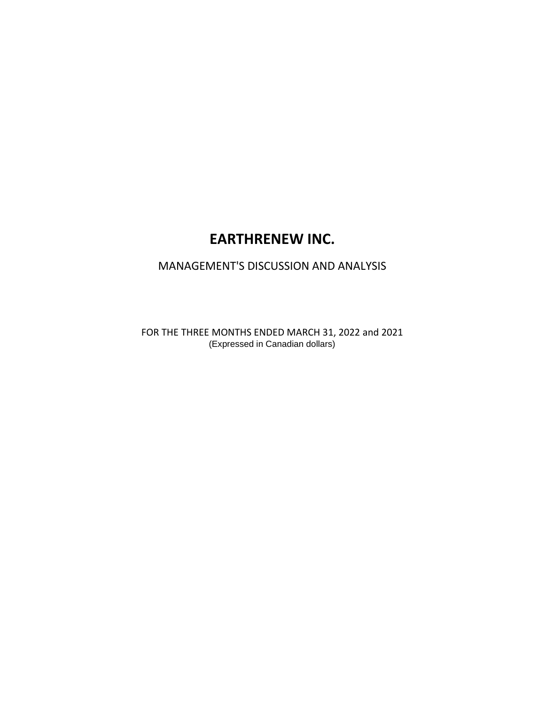# **EARTHRENEW INC.**

# MANAGEMENT'S DISCUSSION AND ANALYSIS

FOR THE THREE MONTHS ENDED MARCH 31, 2022 and 2021 (Expressed in Canadian dollars)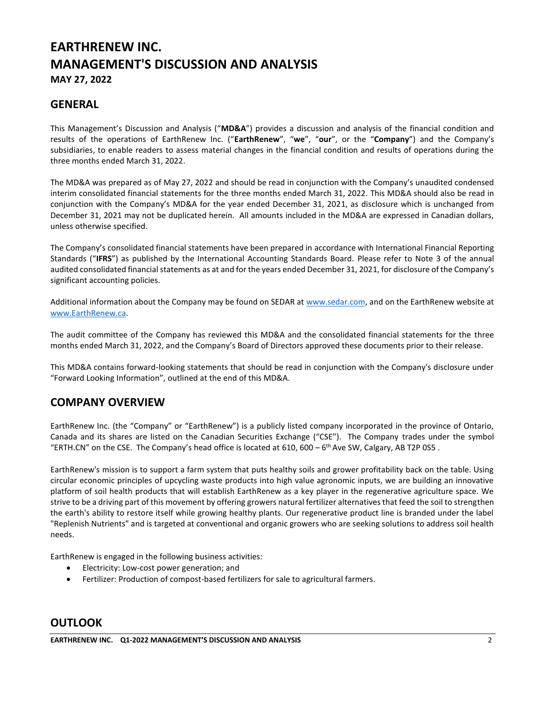## **EARTHRENEW INC. MANAGEMENT'S DISCUSSION AND ANALYSIS MAY 27, 2022**

## **GENERAL**

This Management's Discussion and Analysis ("**MD&A**") provides a discussion and analysis of the financial condition and results of the operations of EarthRenew Inc. ("**EarthRenew**", "**we**", "**our**", or the "**Company**") and the Company's subsidiaries, to enable readers to assess material changes in the financial condition and results of operations during the three months ended March 31, 2022.

The MD&A was prepared as of May 27, 2022 and should be read in conjunction with the Company's unaudited condensed interim consolidated financial statements for the three months ended March 31, 2022. This MD&A should also be read in conjunction with the Company's MD&A for the year ended December 31, 2021, as disclosure which is unchanged from December 31, 2021 may not be duplicated herein. All amounts included in the MD&A are expressed in Canadian dollars, unless otherwise specified.

The Company's consolidated financial statements have been prepared in accordance with International Financial Reporting Standards ("**IFRS**") as published by the International Accounting Standards Board. Please refer to Note 3 of the annual audited consolidated financial statements as at and for the years ended December 31, 2021, for disclosure of the Company's significant accounting policies.

Additional information about the Company may be found on SEDAR at [www.sedar.com,](http://www.sedar.com/) and on the EarthRenew website at [www.EarthRenew.ca](http://www.earthrenew.c/).

The audit committee of the Company has reviewed this MD&A and the consolidated financial statements for the three months ended March 31, 2022, and the Company's Board of Directors approved these documents prior to their release.

This MD&A contains forward-looking statements that should be read in conjunction with the Company's disclosure under "Forward Looking Information", outlined at the end of this MD&A.

## **COMPANY OVERVIEW**

EarthRenew Inc. (the "Company" or "EarthRenew") is a publicly listed company incorporated in the province of Ontario, Canada and its shares are listed on the Canadian Securities Exchange ("CSE"). The Company trades under the symbol "ERTH.CN" on the CSE. The Company's head office is located at 610, 600  $-6$ <sup>th</sup> Ave SW, Calgary, AB T2P 0S5.

EarthRenew's mission is to support a farm system that puts healthy soils and grower profitability back on the table. Using circular economic principles of upcycling waste products into high value agronomic inputs, we are building an innovative platform of soil health products that will establish EarthRenew as a key player in the regenerative agriculture space. We strive to be a driving part of this movement by offering growers natural fertilizer alternatives that feed the soil to strengthen the earth's ability to restore itself while growing healthy plants. Our regenerative product line is branded under the label "Replenish Nutrients" and is targeted at conventional and organic growers who are seeking solutions to address soil health needs.

EarthRenew is engaged in the following business activities:

- Electricity: Low-cost power generation; and
- Fertilizer: Production of compost-based fertilizers for sale to agricultural farmers.

## **OUTLOOK**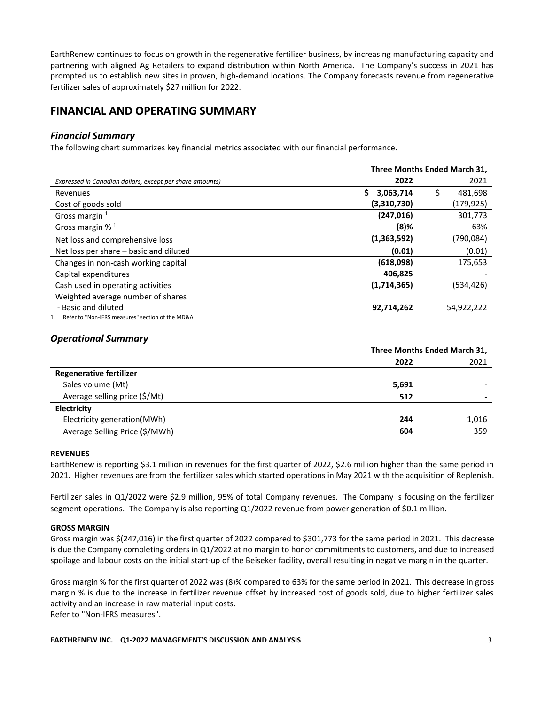EarthRenew continues to focus on growth in the regenerative fertilizer business, by increasing manufacturing capacity and partnering with aligned Ag Retailers to expand distribution within North America. The Company's success in 2021 has prompted us to establish new sites in proven, high-demand locations. The Company forecasts revenue from regenerative fertilizer sales of approximately \$27 million for 2022.

## **FINANCIAL AND OPERATING SUMMARY**

## *Financial Summary*

The following chart summarizes key financial metrics associated with our financial performance.

|                                                          | Three Months Ended March 31, |    |            |  |
|----------------------------------------------------------|------------------------------|----|------------|--|
| Expressed in Canadian dollars, except per share amounts) | 2022                         |    | 2021       |  |
| Revenues                                                 | Ś<br>3,063,714               | \$ | 481,698    |  |
| Cost of goods sold                                       | (3,310,730)                  |    | (179,925)  |  |
| Gross margin 1                                           | (247, 016)                   |    | 301,773    |  |
| Gross margin $%$ <sup>1</sup>                            | $(8)$ %                      |    | 63%        |  |
| Net loss and comprehensive loss                          | (1,363,592)                  |    | (790,084)  |  |
| Net loss per share - basic and diluted                   | (0.01)                       |    | (0.01)     |  |
| Changes in non-cash working capital                      | (618,098)                    |    | 175,653    |  |
| Capital expenditures                                     | 406,825                      |    |            |  |
| Cash used in operating activities                        | (1,714,365)                  |    | (534,426)  |  |
| Weighted average number of shares                        |                              |    |            |  |
| - Basic and diluted                                      | 92,714,262                   |    | 54,922,222 |  |
| Refer to "Non-IFRS measures" section of the MD&A         |                              |    |            |  |

## *Operational Summary*

|                                | Three Months Ended March 31, |       |  |
|--------------------------------|------------------------------|-------|--|
|                                | 2022                         | 2021  |  |
| <b>Regenerative fertilizer</b> |                              |       |  |
| Sales volume (Mt)              | 5,691                        |       |  |
| Average selling price (\$/Mt)  | 512                          |       |  |
| Electricity                    |                              |       |  |
| Electricity generation(MWh)    | 244                          | 1,016 |  |
| Average Selling Price (\$/MWh) | 604                          | 359   |  |

## **REVENUES**

EarthRenew is reporting \$3.1 million in revenues for the first quarter of 2022, \$2.6 million higher than the same period in 2021. Higher revenues are from the fertilizer sales which started operations in May 2021 with the acquisition of Replenish.

Fertilizer sales in Q1/2022 were \$2.9 million, 95% of total Company revenues. The Company is focusing on the fertilizer segment operations. The Company is also reporting Q1/2022 revenue from power generation of \$0.1 million.

## **GROSS MARGIN**

Gross margin was \$(247,016) in the first quarter of 2022 compared to \$301,773 for the same period in 2021. This decrease is due the Company completing orders in Q1/2022 at no margin to honor commitments to customers, and due to increased spoilage and labour costs on the initial start-up of the Beiseker facility, overall resulting in negative margin in the quarter.

Gross margin % for the first quarter of 2022 was (8)% compared to 63% for the same period in 2021. This decrease in gross margin % is due to the increase in fertilizer revenue offset by increased cost of goods sold, due to higher fertilizer sales activity and an increase in raw material input costs. Refer to "Non-IFRS measures".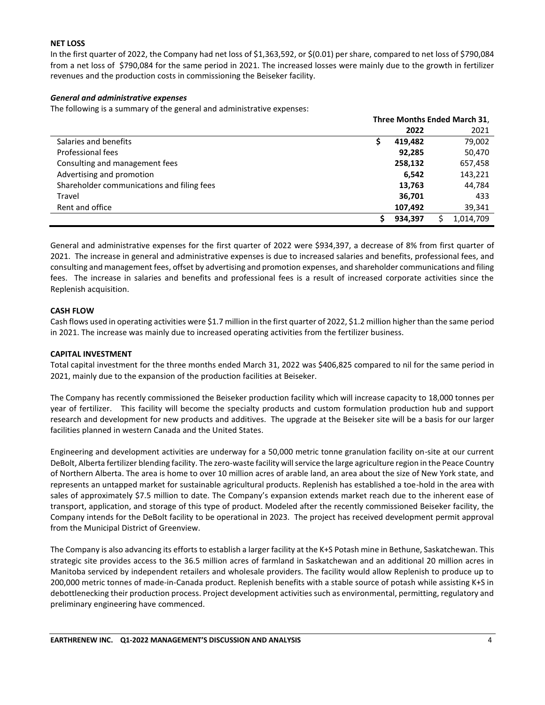## **NET LOSS**

In the first quarter of 2022, the Company had net loss of \$1,363,592, or \$(0.01) per share, compared to net loss of \$790,084 from a net loss of \$790,084 for the same period in 2021. The increased losses were mainly due to the growth in fertilizer revenues and the production costs in commissioning the Beiseker facility.

## *General and administrative expenses*

The following is a summary of the general and administrative expenses:

|                                            | Three Months Ended March 31, |         |           |  |
|--------------------------------------------|------------------------------|---------|-----------|--|
|                                            |                              | 2022    | 2021      |  |
| Salaries and benefits                      |                              | 419.482 | 79,002    |  |
| Professional fees                          |                              | 92.285  | 50,470    |  |
| Consulting and management fees             |                              | 258,132 | 657,458   |  |
| Advertising and promotion                  |                              | 6,542   | 143,221   |  |
| Shareholder communications and filing fees |                              | 13,763  | 44,784    |  |
| Travel                                     |                              | 36,701  | 433       |  |
| Rent and office                            |                              | 107,492 | 39,341    |  |
|                                            |                              | 934,397 | 1,014,709 |  |

General and administrative expenses for the first quarter of 2022 were \$934,397, a decrease of 8% from first quarter of 2021. The increase in general and administrative expenses is due to increased salaries and benefits, professional fees, and consulting and management fees, offset by advertising and promotion expenses, and shareholder communications and filing fees. The increase in salaries and benefits and professional fees is a result of increased corporate activities since the Replenish acquisition.

#### **CASH FLOW**

Cash flows used in operating activities were \$1.7 million in the first quarter of 2022, \$1.2 million higher than the same period in 2021. The increase was mainly due to increased operating activities from the fertilizer business.

#### **CAPITAL INVESTMENT**

Total capital investment for the three months ended March 31, 2022 was \$406,825 compared to nil for the same period in 2021, mainly due to the expansion of the production facilities at Beiseker.

The Company has recently commissioned the Beiseker production facility which will increase capacity to 18,000 tonnes per year of fertilizer. This facility will become the specialty products and custom formulation production hub and support research and development for new products and additives. The upgrade at the Beiseker site will be a basis for our larger facilities planned in western Canada and the United States.

Engineering and development activities are underway for a 50,000 metric tonne granulation facility on-site at our current DeBolt, Alberta fertilizer blending facility. The zero-waste facility will service the large agriculture region in the Peace Country of Northern Alberta. The area is home to over 10 million acres of arable land, an area about the size of New York state, and represents an untapped market for sustainable agricultural products. Replenish has established a toe-hold in the area with sales of approximately \$7.5 million to date. The Company's expansion extends market reach due to the inherent ease of transport, application, and storage of this type of product. Modeled after the recently commissioned Beiseker facility, the Company intends for the DeBolt facility to be operational in 2023. The project has received development permit approval from the Municipal District of Greenview.

The Company is also advancing its efforts to establish a larger facility at the K+S Potash mine in Bethune, Saskatchewan. This strategic site provides access to the 36.5 million acres of farmland in Saskatchewan and an additional 20 million acres in Manitoba serviced by independent retailers and wholesale providers. The facility would allow Replenish to produce up to 200,000 metric tonnes of made-in-Canada product. Replenish benefits with a stable source of potash while assisting K+S in debottlenecking their production process. Project development activities such as environmental, permitting, regulatory and preliminary engineering have commenced.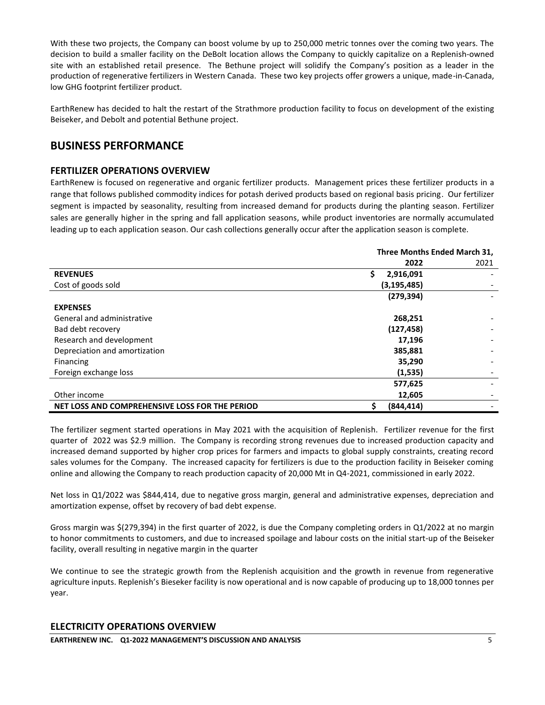With these two projects, the Company can boost volume by up to 250,000 metric tonnes over the coming two years. The decision to build a smaller facility on the DeBolt location allows the Company to quickly capitalize on a Replenish-owned site with an established retail presence. The Bethune project will solidify the Company's position as a leader in the production of regenerative fertilizers in Western Canada. These two key projects offer growers a unique, made-in-Canada, low GHG footprint fertilizer product.

EarthRenew has decided to halt the restart of the Strathmore production facility to focus on development of the existing Beiseker, and Debolt and potential Bethune project.

## **BUSINESS PERFORMANCE**

## **FERTILIZER OPERATIONS OVERVIEW**

EarthRenew is focused on regenerative and organic fertilizer products. Management prices these fertilizer products in a range that follows published commodity indices for potash derived products based on regional basis pricing. Our fertilizer segment is impacted by seasonality, resulting from increased demand for products during the planting season. Fertilizer sales are generally higher in the spring and fall application seasons, while product inventories are normally accumulated leading up to each application season. Our cash collections generally occur after the application season is complete.

|                                                | Three Months Ended March 31, |      |  |
|------------------------------------------------|------------------------------|------|--|
|                                                | 2022                         | 2021 |  |
| <b>REVENUES</b>                                | Ś.<br>2,916,091              |      |  |
| Cost of goods sold                             | (3, 195, 485)                |      |  |
|                                                | (279, 394)                   |      |  |
| <b>EXPENSES</b>                                |                              |      |  |
| General and administrative                     | 268,251                      |      |  |
| Bad debt recovery                              | (127, 458)                   |      |  |
| Research and development                       | 17,196                       |      |  |
| Depreciation and amortization                  | 385,881                      |      |  |
| Financing                                      | 35,290                       |      |  |
| Foreign exchange loss                          | (1,535)                      |      |  |
|                                                | 577,625                      |      |  |
| Other income                                   | 12,605                       |      |  |
| NET LOSS AND COMPREHENSIVE LOSS FOR THE PERIOD | \$<br>(844, 414)             |      |  |

The fertilizer segment started operations in May 2021 with the acquisition of Replenish. Fertilizer revenue for the first quarter of 2022 was \$2.9 million. The Company is recording strong revenues due to increased production capacity and increased demand supported by higher crop prices for farmers and impacts to global supply constraints, creating record sales volumes for the Company. The increased capacity for fertilizers is due to the production facility in Beiseker coming online and allowing the Company to reach production capacity of 20,000 Mt in Q4-2021, commissioned in early 2022.

Net loss in Q1/2022 was \$844,414, due to negative gross margin, general and administrative expenses, depreciation and amortization expense, offset by recovery of bad debt expense.

Gross margin was \$(279,394) in the first quarter of 2022, is due the Company completing orders in Q1/2022 at no margin to honor commitments to customers, and due to increased spoilage and labour costs on the initial start-up of the Beiseker facility, overall resulting in negative margin in the quarter

We continue to see the strategic growth from the Replenish acquisition and the growth in revenue from regenerative agriculture inputs. Replenish's Bieseker facility is now operational and is now capable of producing up to 18,000 tonnes per year.

## **ELECTRICITY OPERATIONS OVERVIEW**

**EARTHRENEW INC. Q1-2022 MANAGEMENT'S DISCUSSION AND ANALYSIS** 5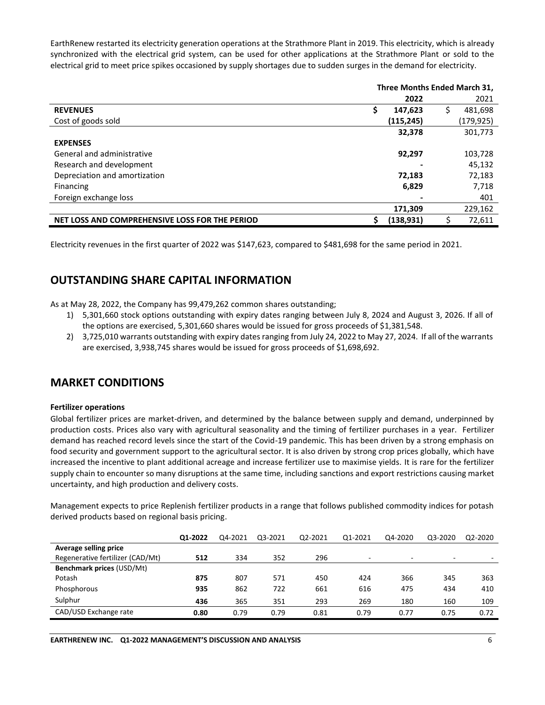EarthRenew restarted its electricity generation operations at the Strathmore Plant in 2019. This electricity, which is already synchronized with the electrical grid system, can be used for other applications at the Strathmore Plant or sold to the electrical grid to meet price spikes occasioned by supply shortages due to sudden surges in the demand for electricity.

|                                                | Three Months Ended March 31, |            |    |            |
|------------------------------------------------|------------------------------|------------|----|------------|
|                                                |                              | 2022       |    | 2021       |
| <b>REVENUES</b>                                | \$                           | 147,623    | \$ | 481,698    |
| Cost of goods sold                             |                              | (115,245)  |    | (179, 925) |
|                                                |                              | 32,378     |    | 301,773    |
| <b>EXPENSES</b>                                |                              |            |    |            |
| General and administrative                     |                              | 92,297     |    | 103,728    |
| Research and development                       |                              |            |    | 45,132     |
| Depreciation and amortization                  |                              | 72,183     |    | 72,183     |
| Financing                                      |                              | 6,829      |    | 7,718      |
| Foreign exchange loss                          |                              |            |    | 401        |
|                                                |                              | 171,309    |    | 229,162    |
| NET LOSS AND COMPREHENSIVE LOSS FOR THE PERIOD | Ś                            | (138, 931) | S  | 72,611     |

Electricity revenues in the first quarter of 2022 was \$147,623, compared to \$481,698 for the same period in 2021.

## **OUTSTANDING SHARE CAPITAL INFORMATION**

As at May 28, 2022, the Company has 99,479,262 common shares outstanding;

- 1) 5,301,660 stock options outstanding with expiry dates ranging between July 8, 2024 and August 3, 2026. If all of the options are exercised, 5,301,660 shares would be issued for gross proceeds of \$1,381,548.
- 2) 3,725,010 warrants outstanding with expiry dates ranging from July 24, 2022 to May 27, 2024. If all of the warrants are exercised, 3,938,745 shares would be issued for gross proceeds of \$1,698,692.

## **MARKET CONDITIONS**

## **Fertilizer operations**

Global fertilizer prices are market-driven, and determined by the balance between supply and demand, underpinned by production costs. Prices also vary with agricultural seasonality and the timing of fertilizer purchases in a year. Fertilizer demand has reached record levels since the start of the Covid-19 pandemic. This has been driven by a strong emphasis on food security and government support to the agricultural sector. It is also driven by strong crop prices globally, which have increased the incentive to plant additional acreage and increase fertilizer use to maximise yields. It is rare for the fertilizer supply chain to encounter so many disruptions at the same time, including sanctions and export restrictions causing market uncertainty, and high production and delivery costs.

Management expects to price Replenish fertilizer products in a range that follows published commodity indices for potash derived products based on regional basis pricing.

|                                  | Q1-2022 | Q4-2021 | Q3-2021 | Q2-2021 | Q1-2021                  | Q4-2020 | Q3-2020 | Q2-2020 |
|----------------------------------|---------|---------|---------|---------|--------------------------|---------|---------|---------|
| Average selling price            |         |         |         |         |                          |         |         |         |
| Regenerative fertilizer (CAD/Mt) | 512     | 334     | 352     | 296     | $\overline{\phantom{0}}$ | ۰       | ۰       |         |
| Benchmark prices (USD/Mt)        |         |         |         |         |                          |         |         |         |
| Potash                           | 875     | 807     | 571     | 450     | 424                      | 366     | 345     | 363     |
| Phosphorous                      | 935     | 862     | 722     | 661     | 616                      | 475     | 434     | 410     |
| Sulphur                          | 436     | 365     | 351     | 293     | 269                      | 180     | 160     | 109     |
| CAD/USD Exchange rate            | 0.80    | 0.79    | 0.79    | 0.81    | 0.79                     | 0.77    | 0.75    | 0.72    |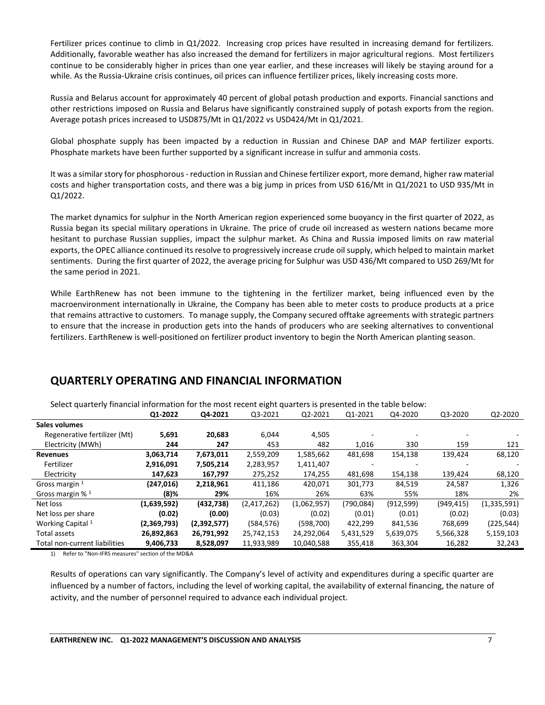Fertilizer prices continue to climb in Q1/2022. Increasing crop prices have resulted in increasing demand for fertilizers. Additionally, favorable weather has also increased the demand for fertilizers in major agricultural regions. Most fertilizers continue to be considerably higher in prices than one year earlier, and these increases will likely be staying around for a while. As the Russia-Ukraine crisis continues, oil prices can influence fertilizer prices, likely increasing costs more.

Russia and Belarus account for approximately 40 percent of global potash production and exports. Financial sanctions and other restrictions imposed on Russia and Belarus have significantly constrained supply of potash exports from the region. Average potash prices increased to USD875/Mt in Q1/2022 vs USD424/Mt in Q1/2021.

Global phosphate supply has been impacted by a reduction in Russian and Chinese DAP and MAP fertilizer exports. Phosphate markets have been further supported by a significant increase in sulfur and ammonia costs.

It was a similar story for phosphorous - reduction in Russian and Chinese fertilizer export, more demand, higher raw material costs and higher transportation costs, and there was a big jump in prices from USD 616/Mt in Q1/2021 to USD 935/Mt in Q1/2022.

The market dynamics for sulphur in the North American region experienced some buoyancy in the first quarter of 2022, as Russia began its special military operations in Ukraine. The price of crude oil increased as western nations became more hesitant to purchase Russian supplies, impact the sulphur market. As China and Russia imposed limits on raw material exports, the OPEC alliance continued its resolve to progressively increase crude oil supply, which helped to maintain market sentiments. During the first quarter of 2022, the average pricing for Sulphur was USD 436/Mt compared to USD 269/Mt for the same period in 2021.

While EarthRenew has not been immune to the tightening in the fertilizer market, being influenced even by the macroenvironment internationally in Ukraine, the Company has been able to meter costs to produce products at a price that remains attractive to customers. To manage supply, the Company secured offtake agreements with strategic partners to ensure that the increase in production gets into the hands of producers who are seeking alternatives to conventional fertilizers. EarthRenew is well-positioned on fertilizer product inventory to begin the North American planting season.

| Select quarterly financial information for the most recent eight quarters is presented in the table below: |             |             |             |             |            |            |            |             |
|------------------------------------------------------------------------------------------------------------|-------------|-------------|-------------|-------------|------------|------------|------------|-------------|
|                                                                                                            | Q1-2022     | Q4-2021     | Q3-2021     | Q2-2021     | Q1-2021    | Q4-2020    | Q3-2020    | Q2-2020     |
| Sales volumes                                                                                              |             |             |             |             |            |            |            |             |
| Regenerative fertilizer (Mt)                                                                               | 5,691       | 20,683      | 6,044       | 4,505       |            |            |            |             |
| Electricity (MWh)                                                                                          | 244         | 247         | 453         | 482         | 1,016      | 330        | 159        | 121         |
| <b>Revenues</b>                                                                                            | 3,063,714   | 7,673,011   | 2,559,209   | 1,585,662   | 481,698    | 154,138    | 139,424    | 68,120      |
| Fertilizer                                                                                                 | 2,916,091   | 7,505,214   | 2,283,957   | 1,411,407   |            | ۰          |            |             |
| Electricity                                                                                                | 147,623     | 167,797     | 275,252     | 174,255     | 481,698    | 154,138    | 139,424    | 68,120      |
| Gross margin 1                                                                                             | (247, 016)  | 2,218,961   | 411,186     | 420,071     | 301,773    | 84,519     | 24,587     | 1,326       |
| Gross margin % <sup>1</sup>                                                                                | $(8)\%$     | 29%         | 16%         | 26%         | 63%        | 55%        | 18%        | 2%          |
| Net loss                                                                                                   | (1,639,592) | (432, 738)  | (2,417,262) | (1,062,957) | (790, 084) | (912, 599) | (949, 415) | (1,335,591) |
| Net loss per share                                                                                         | (0.02)      | (0.00)      | (0.03)      | (0.02)      | (0.01)     | (0.01)     | (0.02)     | (0.03)      |
| Working Capital 1                                                                                          | (2,369,793) | (2,392,577) | (584, 576)  | (598, 700)  | 422,299    | 841,536    | 768,699    | (225, 544)  |
| Total assets                                                                                               | 26,892,863  | 26,791,992  | 25,742,153  | 24,292,064  | 5,431,529  | 5,639,075  | 5,566,328  | 5,159,103   |
| Total non-current liabilities                                                                              | 9,406,733   | 8,528,097   | 11,933,989  | 10,040,588  | 355,418    | 363,304    | 16,282     | 32,243      |

## **QUARTERLY OPERATING AND FINANCIAL INFORMATION**

1) Refer to "Non-IFRS measures" section of the MD&A

Results of operations can vary significantly. The Company's level of activity and expenditures during a specific quarter are influenced by a number of factors, including the level of working capital, the availability of external financing, the nature of activity, and the number of personnel required to advance each individual project.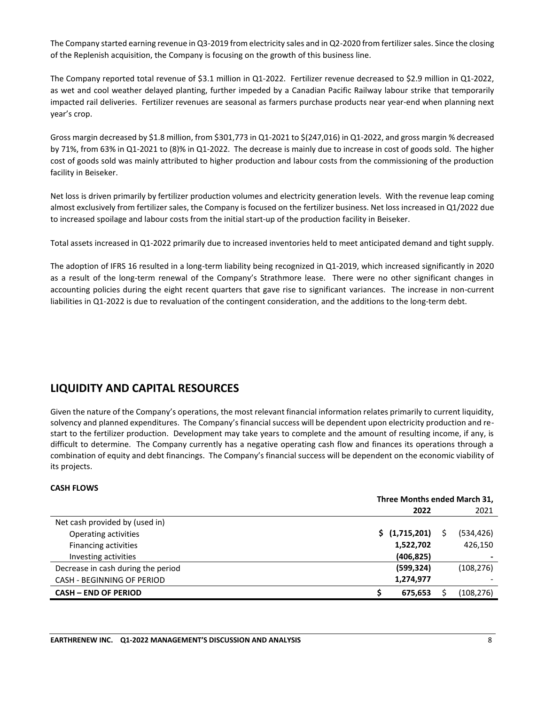The Company started earning revenue in Q3-2019 from electricity sales and in Q2-2020 from fertilizer sales. Since the closing of the Replenish acquisition, the Company is focusing on the growth of this business line.

The Company reported total revenue of \$3.1 million in Q1-2022. Fertilizer revenue decreased to \$2.9 million in Q1-2022, as wet and cool weather delayed planting, further impeded by a Canadian Pacific Railway labour strike that temporarily impacted rail deliveries. Fertilizer revenues are seasonal as farmers purchase products near year-end when planning next year's crop.

Gross margin decreased by \$1.8 million, from \$301,773 in Q1-2021 to \$(247,016) in Q1-2022, and gross margin % decreased by 71%, from 63% in Q1-2021 to (8)% in Q1-2022. The decrease is mainly due to increase in cost of goods sold. The higher cost of goods sold was mainly attributed to higher production and labour costs from the commissioning of the production facility in Beiseker.

Net loss is driven primarily by fertilizer production volumes and electricity generation levels. With the revenue leap coming almost exclusively from fertilizer sales, the Company is focused on the fertilizer business. Net loss increased in Q1/2022 due to increased spoilage and labour costs from the initial start-up of the production facility in Beiseker.

Total assets increased in Q1-2022 primarily due to increased inventories held to meet anticipated demand and tight supply.

The adoption of IFRS 16 resulted in a long-term liability being recognized in Q1-2019, which increased significantly in 2020 as a result of the long-term renewal of the Company's Strathmore lease. There were no other significant changes in accounting policies during the eight recent quarters that gave rise to significant variances. The increase in non-current liabilities in Q1-2022 is due to revaluation of the contingent consideration, and the additions to the long-term debt.

## **LIQUIDITY AND CAPITAL RESOURCES**

Given the nature of the Company's operations, the most relevant financial information relates primarily to current liquidity, solvency and planned expenditures. The Company's financial success will be dependent upon electricity production and restart to the fertilizer production. Development may take years to complete and the amount of resulting income, if any, is difficult to determine. The Company currently has a negative operating cash flow and finances its operations through a combination of equity and debt financings. The Company's financial success will be dependent on the economic viability of its projects.

## **CASH FLOWS**

|                                    | Three Months ended March 31, |                |  |            |
|------------------------------------|------------------------------|----------------|--|------------|
|                                    |                              | 2022           |  | 2021       |
| Net cash provided by (used in)     |                              |                |  |            |
| Operating activities               |                              | \$ (1,715,201) |  | (534, 426) |
| Financing activities               |                              | 1,522,702      |  | 426,150    |
| Investing activities               |                              | (406, 825)     |  |            |
| Decrease in cash during the period |                              | (599, 324)     |  | (108, 276) |
| CASH - BEGINNING OF PERIOD         |                              | 1,274,977      |  |            |
| <b>CASH - END OF PERIOD</b>        |                              | 675,653        |  | (108, 276) |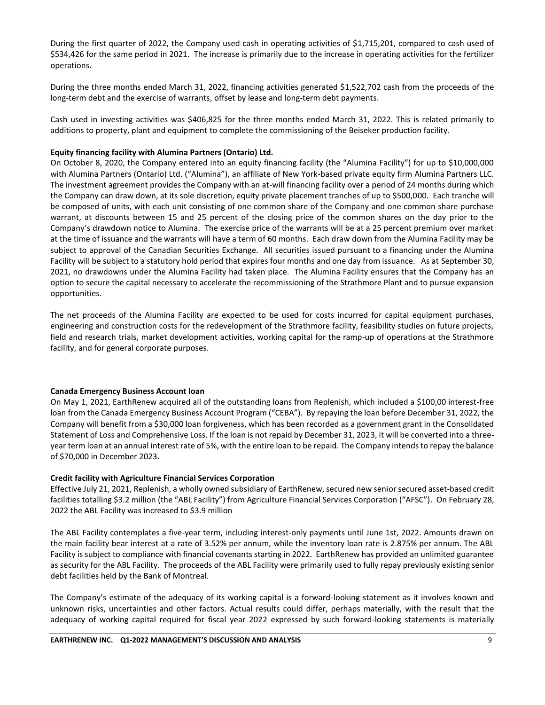During the first quarter of 2022, the Company used cash in operating activities of \$1,715,201, compared to cash used of \$534,426 for the same period in 2021. The increase is primarily due to the increase in operating activities for the fertilizer operations.

During the three months ended March 31, 2022, financing activities generated \$1,522,702 cash from the proceeds of the long-term debt and the exercise of warrants, offset by lease and long-term debt payments.

Cash used in investing activities was \$406,825 for the three months ended March 31, 2022. This is related primarily to additions to property, plant and equipment to complete the commissioning of the Beiseker production facility.

## **Equity financing facility with Alumina Partners (Ontario) Ltd.**

On October 8, 2020, the Company entered into an equity financing facility (the "Alumina Facility") for up to \$10,000,000 with Alumina Partners (Ontario) Ltd. ("Alumina"), an affiliate of New York-based private equity firm Alumina Partners LLC. The investment agreement provides the Company with an at-will financing facility over a period of 24 months during which the Company can draw down, at its sole discretion, equity private placement tranches of up to \$500,000. Each tranche will be composed of units, with each unit consisting of one common share of the Company and one common share purchase warrant, at discounts between 15 and 25 percent of the closing price of the common shares on the day prior to the Company's drawdown notice to Alumina. The exercise price of the warrants will be at a 25 percent premium over market at the time of issuance and the warrants will have a term of 60 months. Each draw down from the Alumina Facility may be subject to approval of the Canadian Securities Exchange. All securities issued pursuant to a financing under the Alumina Facility will be subject to a statutory hold period that expires four months and one day from issuance. As at September 30, 2021, no drawdowns under the Alumina Facility had taken place. The Alumina Facility ensures that the Company has an option to secure the capital necessary to accelerate the recommissioning of the Strathmore Plant and to pursue expansion opportunities.

The net proceeds of the Alumina Facility are expected to be used for costs incurred for capital equipment purchases, engineering and construction costs for the redevelopment of the Strathmore facility, feasibility studies on future projects, field and research trials, market development activities, working capital for the ramp-up of operations at the Strathmore facility, and for general corporate purposes.

## **Canada Emergency Business Account loan**

On May 1, 2021, EarthRenew acquired all of the outstanding loans from Replenish, which included a \$100,00 interest-free loan from the Canada Emergency Business Account Program ("CEBA"). By repaying the loan before December 31, 2022, the Company will benefit from a \$30,000 loan forgiveness, which has been recorded as a government grant in the Consolidated Statement of Loss and Comprehensive Loss. If the loan is not repaid by December 31, 2023, it will be converted into a threeyear term loan at an annual interest rate of 5%, with the entire loan to be repaid. The Company intends to repay the balance of \$70,000 in December 2023.

## **Credit facility with Agriculture Financial Services Corporation**

Effective July 21, 2021, Replenish, a wholly owned subsidiary of EarthRenew, secured new senior secured asset-based credit facilities totalling \$3.2 million (the "ABL Facility") from Agriculture Financial Services Corporation ("AFSC"). On February 28, 2022 the ABL Facility was increased to \$3.9 million

The ABL Facility contemplates a five-year term, including interest-only payments until June 1st, 2022. Amounts drawn on the main facility bear interest at a rate of 3.52% per annum, while the inventory loan rate is 2.875% per annum. The ABL Facility is subject to compliance with financial covenants starting in 2022. EarthRenew has provided an unlimited guarantee as security for the ABL Facility. The proceeds of the ABL Facility were primarily used to fully repay previously existing senior debt facilities held by the Bank of Montreal.

The Company's estimate of the adequacy of its working capital is a forward-looking statement as it involves known and unknown risks, uncertainties and other factors. Actual results could differ, perhaps materially, with the result that the adequacy of working capital required for fiscal year 2022 expressed by such forward-looking statements is materially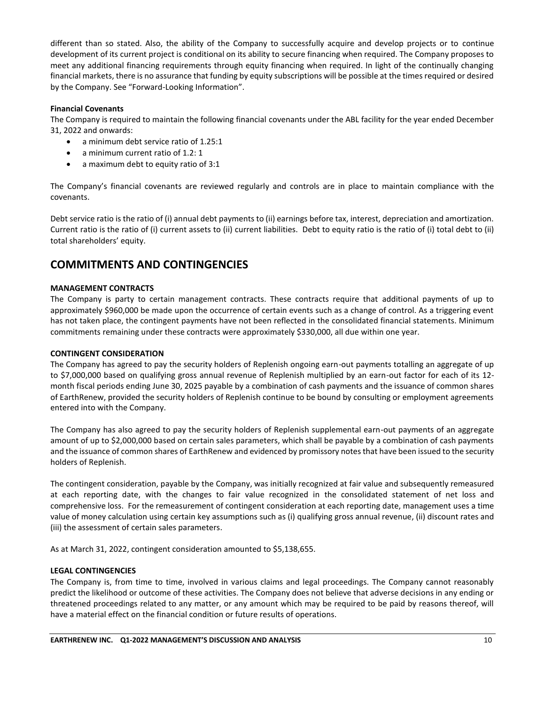different than so stated. Also, the ability of the Company to successfully acquire and develop projects or to continue development of its current project is conditional on its ability to secure financing when required. The Company proposes to meet any additional financing requirements through equity financing when required. In light of the continually changing financial markets, there is no assurance that funding by equity subscriptions will be possible at the times required or desired by the Company. See "Forward-Looking Information".

## **Financial Covenants**

The Company is required to maintain the following financial covenants under the ABL facility for the year ended December 31, 2022 and onwards:

- a minimum debt service ratio of 1.25:1
- a minimum current ratio of 1.2: 1
- a maximum debt to equity ratio of 3:1

The Company's financial covenants are reviewed regularly and controls are in place to maintain compliance with the covenants.

Debt service ratio is the ratio of (i) annual debt payments to (ii) earnings before tax, interest, depreciation and amortization. Current ratio is the ratio of (i) current assets to (ii) current liabilities. Debt to equity ratio is the ratio of (i) total debt to (ii) total shareholders' equity.

## **COMMITMENTS AND CONTINGENCIES**

## **MANAGEMENT CONTRACTS**

The Company is party to certain management contracts. These contracts require that additional payments of up to approximately \$960,000 be made upon the occurrence of certain events such as a change of control. As a triggering event has not taken place, the contingent payments have not been reflected in the consolidated financial statements. Minimum commitments remaining under these contracts were approximately \$330,000, all due within one year.

### **CONTINGENT CONSIDERATION**

The Company has agreed to pay the security holders of Replenish ongoing earn-out payments totalling an aggregate of up to \$7,000,000 based on qualifying gross annual revenue of Replenish multiplied by an earn-out factor for each of its 12 month fiscal periods ending June 30, 2025 payable by a combination of cash payments and the issuance of common shares of EarthRenew, provided the security holders of Replenish continue to be bound by consulting or employment agreements entered into with the Company.

The Company has also agreed to pay the security holders of Replenish supplemental earn-out payments of an aggregate amount of up to \$2,000,000 based on certain sales parameters, which shall be payable by a combination of cash payments and the issuance of common shares of EarthRenew and evidenced by promissory notes that have been issued to the security holders of Replenish.

The contingent consideration, payable by the Company, was initially recognized at fair value and subsequently remeasured at each reporting date, with the changes to fair value recognized in the consolidated statement of net loss and comprehensive loss. For the remeasurement of contingent consideration at each reporting date, management uses a time value of money calculation using certain key assumptions such as (i) qualifying gross annual revenue, (ii) discount rates and (iii) the assessment of certain sales parameters.

As at March 31, 2022, contingent consideration amounted to \$5,138,655.

## **LEGAL CONTINGENCIES**

The Company is, from time to time, involved in various claims and legal proceedings. The Company cannot reasonably predict the likelihood or outcome of these activities. The Company does not believe that adverse decisions in any ending or threatened proceedings related to any matter, or any amount which may be required to be paid by reasons thereof, will have a material effect on the financial condition or future results of operations.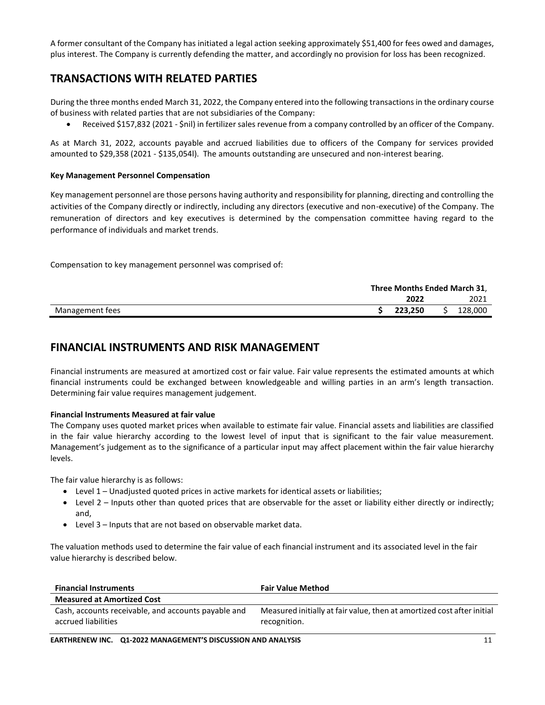A former consultant of the Company has initiated a legal action seeking approximately \$51,400 for fees owed and damages, plus interest. The Company is currently defending the matter, and accordingly no provision for loss has been recognized.

## **TRANSACTIONS WITH RELATED PARTIES**

During the three months ended March 31, 2022, the Company entered into the following transactions in the ordinary course of business with related parties that are not subsidiaries of the Company:

• Received \$157,832 (2021 - \$nil) in fertilizer sales revenue from a company controlled by an officer of the Company.

As at March 31, 2022, accounts payable and accrued liabilities due to officers of the Company for services provided amounted to \$29,358 (2021 - \$135,054l). The amounts outstanding are unsecured and non-interest bearing.

## **Key Management Personnel Compensation**

Key management personnel are those persons having authority and responsibility for planning, directing and controlling the activities of the Company directly or indirectly, including any directors (executive and non-executive) of the Company. The remuneration of directors and key executives is determined by the compensation committee having regard to the performance of individuals and market trends.

Compensation to key management personnel was comprised of:

|                 | Three Months Ended March 31, |  |         |
|-----------------|------------------------------|--|---------|
|                 | 2022                         |  | 2021    |
| Management fees | 223.250                      |  | 128,000 |

## **FINANCIAL INSTRUMENTS AND RISK MANAGEMENT**

Financial instruments are measured at amortized cost or fair value. Fair value represents the estimated amounts at which financial instruments could be exchanged between knowledgeable and willing parties in an arm's length transaction. Determining fair value requires management judgement.

## **Financial Instruments Measured at fair value**

The Company uses quoted market prices when available to estimate fair value. Financial assets and liabilities are classified in the fair value hierarchy according to the lowest level of input that is significant to the fair value measurement. Management's judgement as to the significance of a particular input may affect placement within the fair value hierarchy levels.

The fair value hierarchy is as follows:

- Level 1 Unadjusted quoted prices in active markets for identical assets or liabilities;
- $\bullet$  Level 2 Inputs other than quoted prices that are observable for the asset or liability either directly or indirectly; and,
- Level 3 Inputs that are not based on observable market data.

The valuation methods used to determine the fair value of each financial instrument and its associated level in the fair value hierarchy is described below.

| <b>Financial Instruments</b>                                               | <b>Fair Value Method</b>                                                               |
|----------------------------------------------------------------------------|----------------------------------------------------------------------------------------|
| <b>Measured at Amortized Cost</b>                                          |                                                                                        |
| Cash, accounts receivable, and accounts payable and<br>accrued liabilities | Measured initially at fair value, then at amortized cost after initial<br>recognition. |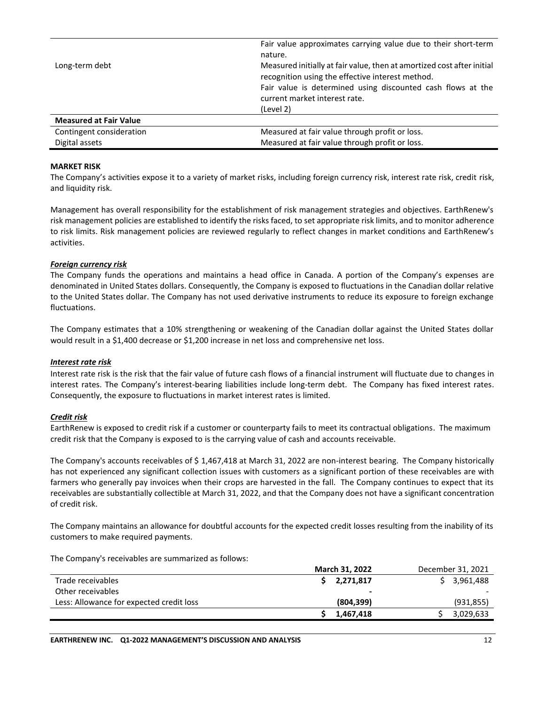|                               | Fair value approximates carrying value due to their short-term<br>nature.                                                  |
|-------------------------------|----------------------------------------------------------------------------------------------------------------------------|
| Long-term debt                | Measured initially at fair value, then at amortized cost after initial<br>recognition using the effective interest method. |
|                               | Fair value is determined using discounted cash flows at the                                                                |
|                               | current market interest rate.                                                                                              |
|                               | (Level 2)                                                                                                                  |
| <b>Measured at Fair Value</b> |                                                                                                                            |
| Contingent consideration      | Measured at fair value through profit or loss.                                                                             |
| Digital assets                | Measured at fair value through profit or loss.                                                                             |

#### **MARKET RISK**

The Company's activities expose it to a variety of market risks, including foreign currency risk, interest rate risk, credit risk, and liquidity risk.

Management has overall responsibility for the establishment of risk management strategies and objectives. EarthRenew's risk management policies are established to identify the risks faced, to set appropriate risk limits, and to monitor adherence to risk limits. Risk management policies are reviewed regularly to reflect changes in market conditions and EarthRenew's activities.

#### *Foreign currency risk*

The Company funds the operations and maintains a head office in Canada. A portion of the Company's expenses are denominated in United States dollars. Consequently, the Company is exposed to fluctuations in the Canadian dollar relative to the United States dollar. The Company has not used derivative instruments to reduce its exposure to foreign exchange fluctuations.

The Company estimates that a 10% strengthening or weakening of the Canadian dollar against the United States dollar would result in a \$1,400 decrease or \$1,200 increase in net loss and comprehensive net loss.

#### *Interest rate risk*

Interest rate risk is the risk that the fair value of future cash flows of a financial instrument will fluctuate due to changes in interest rates. The Company's interest-bearing liabilities include long-term debt. The Company has fixed interest rates. Consequently, the exposure to fluctuations in market interest rates is limited.

#### *Credit risk*

EarthRenew is exposed to credit risk if a customer or counterparty fails to meet its contractual obligations. The maximum credit risk that the Company is exposed to is the carrying value of cash and accounts receivable.

The Company's accounts receivables of \$ 1,467,418 at March 31, 2022 are non-interest bearing. The Company historically has not experienced any significant collection issues with customers as a significant portion of these receivables are with farmers who generally pay invoices when their crops are harvested in the fall. The Company continues to expect that its receivables are substantially collectible at March 31, 2022, and that the Company does not have a significant concentration of credit risk.

The Company maintains an allowance for doubtful accounts for the expected credit losses resulting from the inability of its customers to make required payments.

The Company's receivables are summarized as follows:

|                                          | <b>March 31, 2022</b><br>December 31, 2021 |            |
|------------------------------------------|--------------------------------------------|------------|
| Trade receivables                        | 2,271,817                                  | 3,961,488  |
| Other receivables                        | ۰                                          |            |
| Less: Allowance for expected credit loss | (804, 399)                                 | (931, 855) |
|                                          | 1,467,418                                  | 3,029,633  |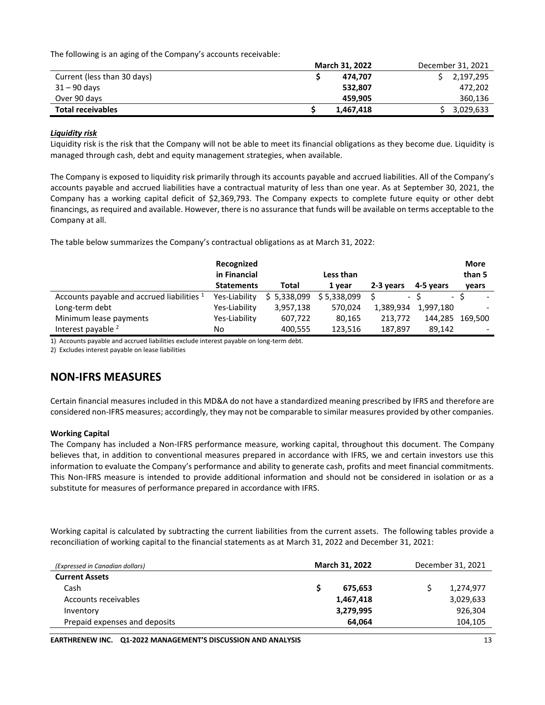The following is an aging of the Company's accounts receivable:

|                             | <b>March 31, 2022</b> | December 31, 2021 |
|-----------------------------|-----------------------|-------------------|
| Current (less than 30 days) | 474.707               | 2,197,295         |
| 31 – 90 days                | 532.807               | 472,202           |
| Over 90 days                | 459.905               | 360,136           |
| <b>Total receivables</b>    | 1,467,418             | 3,029,633         |

#### *Liquidity risk*

Liquidity risk is the risk that the Company will not be able to meet its financial obligations as they become due. Liquidity is managed through cash, debt and equity management strategies, when available.

The Company is exposed to liquidity risk primarily through its accounts payable and accrued liabilities. All of the Company's accounts payable and accrued liabilities have a contractual maturity of less than one year. As at September 30, 2021, the Company has a working capital deficit of \$2,369,793. The Company expects to complete future equity or other debt financings, as required and available. However, there is no assurance that funds will be available on terms acceptable to the Company at all.

The table below summarizes the Company's contractual obligations as at March 31, 2022:

|                                            | Recognized<br>in Financial |             | Less than   |                |           | <b>More</b><br>than 5 |
|--------------------------------------------|----------------------------|-------------|-------------|----------------|-----------|-----------------------|
|                                            | <b>Statements</b>          | Total       | 1 year      | 2-3 years      | 4-5 years | vears                 |
| Accounts payable and accrued liabilities 1 | Yes-Liability              | \$5,338,099 | \$5,338,099 | $\blacksquare$ |           | - S                   |
| Long-term debt                             | Yes-Liability              | 3,957,138   | 570.024     | 1,389,934      | 1,997,180 |                       |
| Minimum lease payments                     | Yes-Liability              | 607,722     | 80,165      | 213.772        | 144,285   | 169.500               |
| Interest payable <sup>2</sup>              | No                         | 400,555     | 123,516     | 187,897        | 89,142    |                       |

1) Accounts payable and accrued liabilities exclude interest payable on long-term debt.

2) Excludes interest payable on lease liabilities

## **NON-IFRS MEASURES**

Certain financial measures included in this MD&A do not have a standardized meaning prescribed by IFRS and therefore are considered non-IFRS measures; accordingly, they may not be comparable to similar measures provided by other companies.

## **Working Capital**

The Company has included a Non-IFRS performance measure, working capital, throughout this document. The Company believes that, in addition to conventional measures prepared in accordance with IFRS, we and certain investors use this information to evaluate the Company's performance and ability to generate cash, profits and meet financial commitments. This Non-IFRS measure is intended to provide additional information and should not be considered in isolation or as a substitute for measures of performance prepared in accordance with IFRS.

Working capital is calculated by subtracting the current liabilities from the current assets. The following tables provide a reconciliation of working capital to the financial statements as at March 31, 2022 and December 31, 2021:

|         |                                                 | December 31, 2021 |
|---------|-------------------------------------------------|-------------------|
|         |                                                 |                   |
| 675.653 |                                                 | 1,274,977         |
|         |                                                 | 3,029,633         |
|         |                                                 | 926,304           |
| 64.064  |                                                 | 104,105           |
|         | <b>March 31, 2022</b><br>1,467,418<br>3,279,995 |                   |

**EARTHRENEW INC.** 01-2022 MANAGEMENT'S DISCUSSION AND ANALYSIS 13 13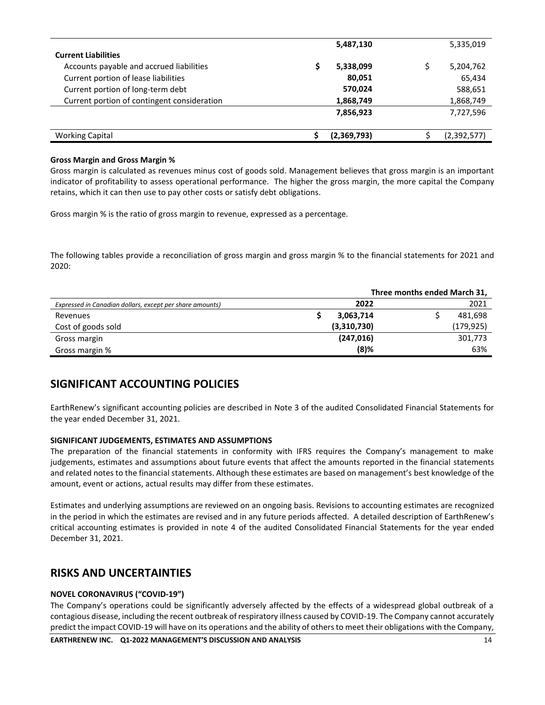|                                             | 5,487,130   |   | 5,335,019   |
|---------------------------------------------|-------------|---|-------------|
| <b>Current Liabilities</b>                  |             |   |             |
| Accounts payable and accrued liabilities    | 5,338,099   | Ś | 5,204,762   |
| Current portion of lease liabilities        | 80,051      |   | 65,434      |
| Current portion of long-term debt           | 570,024     |   | 588,651     |
| Current portion of contingent consideration | 1,868,749   |   | 1,868,749   |
|                                             | 7,856,923   |   | 7,727,596   |
|                                             |             |   |             |
| <b>Working Capital</b>                      | (2,369,793) |   | (2,392,577) |

### **Gross Margin and Gross Margin %**

Gross margin is calculated as revenues minus cost of goods sold. Management believes that gross margin is an important indicator of profitability to assess operational performance. The higher the gross margin, the more capital the Company retains, which it can then use to pay other costs or satisfy debt obligations.

Gross margin % is the ratio of gross margin to revenue, expressed as a percentage.

The following tables provide a reconciliation of gross margin and gross margin % to the financial statements for 2021 and 2020:

|                                                          |             | Three months ended March 31, |
|----------------------------------------------------------|-------------|------------------------------|
| Expressed in Canadian dollars, except per share amounts) | 2022        | 2021                         |
| Revenues                                                 | 3,063,714   | 481,698                      |
| Cost of goods sold                                       | (3,310,730) | (179,925)                    |
| Gross margin                                             | (247, 016)  | 301,773                      |
| Gross margin %                                           | $(8)$ %     | 63%                          |

## **SIGNIFICANT ACCOUNTING POLICIES**

EarthRenew's significant accounting policies are described in Note 3 of the audited Consolidated Financial Statements for the year ended December 31, 2021.

## **SIGNIFICANT JUDGEMENTS, ESTIMATES AND ASSUMPTIONS**

The preparation of the financial statements in conformity with IFRS requires the Company's management to make judgements, estimates and assumptions about future events that affect the amounts reported in the financial statements and related notes to the financial statements. Although these estimates are based on management's best knowledge of the amount, event or actions, actual results may differ from these estimates.

Estimates and underlying assumptions are reviewed on an ongoing basis. Revisions to accounting estimates are recognized in the period in which the estimates are revised and in any future periods affected. A detailed description of EarthRenew's critical accounting estimates is provided in note 4 of the audited Consolidated Financial Statements for the year ended December 31, 2021.

## **RISKS AND UNCERTAINTIES**

## **NOVEL CORONAVIRUS ("COVID-19")**

The Company's operations could be significantly adversely affected by the effects of a widespread global outbreak of a contagious disease, including the recent outbreak of respiratory illness caused by COVID-19. The Company cannot accurately predict the impact COVID-19 will have on its operations and the ability of others to meet their obligations with the Company,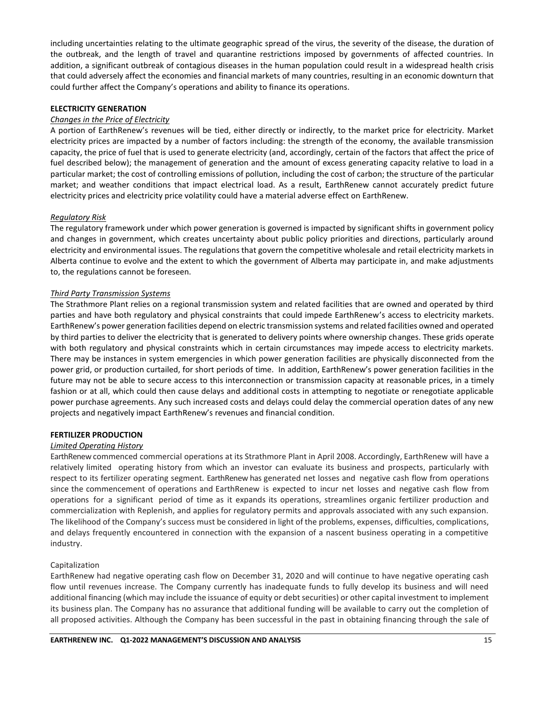including uncertainties relating to the ultimate geographic spread of the virus, the severity of the disease, the duration of the outbreak, and the length of travel and quarantine restrictions imposed by governments of affected countries. In addition, a significant outbreak of contagious diseases in the human population could result in a widespread health crisis that could adversely affect the economies and financial markets of many countries, resulting in an economic downturn that could further affect the Company's operations and ability to finance its operations.

### **ELECTRICITY GENERATION**

### *Changes in the Price of Electricity*

A portion of EarthRenew's revenues will be tied, either directly or indirectly, to the market price for electricity. Market electricity prices are impacted by a number of factors including: the strength of the economy, the available transmission capacity, the price of fuel that is used to generate electricity (and, accordingly, certain of the factors that affect the price of fuel described below); the management of generation and the amount of excess generating capacity relative to load in a particular market; the cost of controlling emissions of pollution, including the cost of carbon; the structure of the particular market; and weather conditions that impact electrical load. As a result, EarthRenew cannot accurately predict future electricity prices and electricity price volatility could have a material adverse effect on EarthRenew.

#### *Regulatory Risk*

The regulatory framework under which power generation is governed is impacted by significant shifts in government policy and changes in government, which creates uncertainty about public policy priorities and directions, particularly around electricity and environmental issues. The regulations that govern the competitive wholesale and retail electricity markets in Alberta continue to evolve and the extent to which the government of Alberta may participate in, and make adjustments to, the regulations cannot be foreseen.

#### *Third Party Transmission Systems*

The Strathmore Plant relies on a regional transmission system and related facilities that are owned and operated by third parties and have both regulatory and physical constraints that could impede EarthRenew's access to electricity markets. EarthRenew's power generation facilities depend on electric transmission systems and related facilities owned and operated by third parties to deliver the electricity that is generated to delivery points where ownership changes. These grids operate with both regulatory and physical constraints which in certain circumstances may impede access to electricity markets. There may be instances in system emergencies in which power generation facilities are physically disconnected from the power grid, or production curtailed, for short periods of time. In addition, EarthRenew's power generation facilities in the future may not be able to secure access to this interconnection or transmission capacity at reasonable prices, in a timely fashion or at all, which could then cause delays and additional costs in attempting to negotiate or renegotiate applicable power purchase agreements. Any such increased costs and delays could delay the commercial operation dates of any new projects and negatively impact EarthRenew's revenues and financial condition.

#### **FERTILIZER PRODUCTION**

## *Limited Operating History*

EarthRenew commenced commercial operations at its Strathmore Plant in April 2008. Accordingly, EarthRenew will have a relatively limited operating history from which an investor can evaluate its business and prospects, particularly with respect to its fertilizer operating segment. EarthRenew has generated net losses and negative cash flow from operations since the commencement of operations and EarthRenew is expected to incur net losses and negative cash flow from operations for a significant period of time as it expands its operations, streamlines organic fertilizer production and commercialization with Replenish, and applies for regulatory permits and approvals associated with any such expansion. The likelihood of the Company's success must be considered in light of the problems, expenses, difficulties, complications, and delays frequently encountered in connection with the expansion of a nascent business operating in a competitive industry.

#### Capitalization

EarthRenew had negative operating cash flow on December 31, 2020 and will continue to have negative operating cash flow until revenues increase. The Company currently has inadequate funds to fully develop its business and will need additional financing (which may include the issuance of equity or debt securities) or other capital investment to implement its business plan. The Company has no assurance that additional funding will be available to carry out the completion of all proposed activities. Although the Company has been successful in the past in obtaining financing through the sale of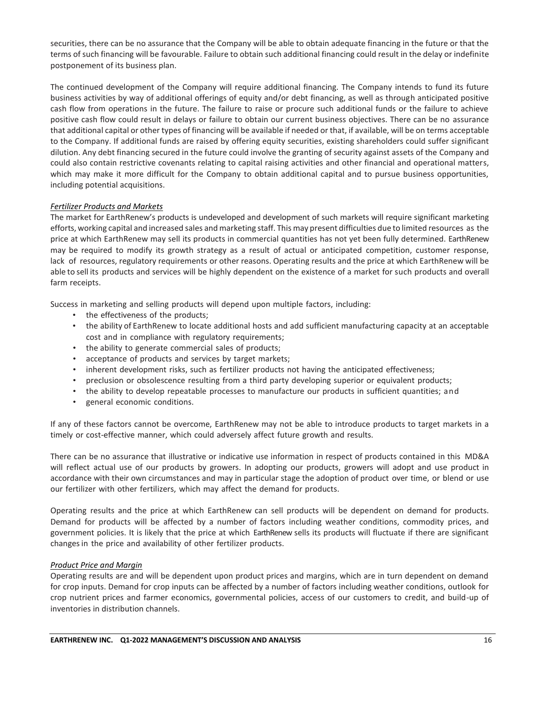securities, there can be no assurance that the Company will be able to obtain adequate financing in the future or that the terms of such financing will be favourable. Failure to obtain such additional financing could result in the delay or indefinite postponement of its business plan.

The continued development of the Company will require additional financing. The Company intends to fund its future business activities by way of additional offerings of equity and/or debt financing, as well as through anticipated positive cash flow from operations in the future. The failure to raise or procure such additional funds or the failure to achieve positive cash flow could result in delays or failure to obtain our current business objectives. There can be no assurance that additional capital or other types of financing will be available if needed or that, if available, will be on terms acceptable to the Company. If additional funds are raised by offering equity securities, existing shareholders could suffer significant dilution. Any debt financing secured in the future could involve the granting of security against assets of the Company and could also contain restrictive covenants relating to capital raising activities and other financial and operational matters, which may make it more difficult for the Company to obtain additional capital and to pursue business opportunities, including potential acquisitions.

## *Fertilizer Products and Markets*

The market for EarthRenew's products is undeveloped and development of such markets will require significant marketing efforts, working capital and increased sales and marketing staff. This may present difficulties due to limited resources as the price at which EarthRenew may sell its products in commercial quantities has not yet been fully determined. EarthRenew may be required to modify its growth strategy as a result of actual or anticipated competition, customer response, lack of resources, regulatory requirements or other reasons. Operating results and the price at which EarthRenew will be able to sell its products and services will be highly dependent on the existence of a market for such products and overall farm receipts.

Success in marketing and selling products will depend upon multiple factors, including:

- the effectiveness of the products;
- the ability of EarthRenew to locate additional hosts and add sufficient manufacturing capacity at an acceptable cost and in compliance with regulatory requirements;
- the ability to generate commercial sales of products;
- acceptance of products and services by target markets;
- inherent development risks, such as fertilizer products not having the anticipated effectiveness;
- preclusion or obsolescence resulting from a third party developing superior or equivalent products;
- the ability to develop repeatable processes to manufacture our products in sufficient quantities; and
- general economic conditions.

If any of these factors cannot be overcome, EarthRenew may not be able to introduce products to target markets in a timely or cost-effective manner, which could adversely affect future growth and results.

There can be no assurance that illustrative or indicative use information in respect of products contained in this MD&A will reflect actual use of our products by growers. In adopting our products, growers will adopt and use product in accordance with their own circumstances and may in particular stage the adoption of product over time, or blend or use our fertilizer with other fertilizers, which may affect the demand for products.

Operating results and the price at which EarthRenew can sell products will be dependent on demand for products. Demand for products will be affected by a number of factors including weather conditions, commodity prices, and government policies. It is likely that the price at which EarthRenew sells its products will fluctuate if there are significant changesin the price and availability of other fertilizer products.

## *Product Price and Margin*

Operating results are and will be dependent upon product prices and margins, which are in turn dependent on demand for crop inputs. Demand for crop inputs can be affected by a number of factors including weather conditions, outlook for crop nutrient prices and farmer economics, governmental policies, access of our customers to credit, and build-up of inventories in distribution channels.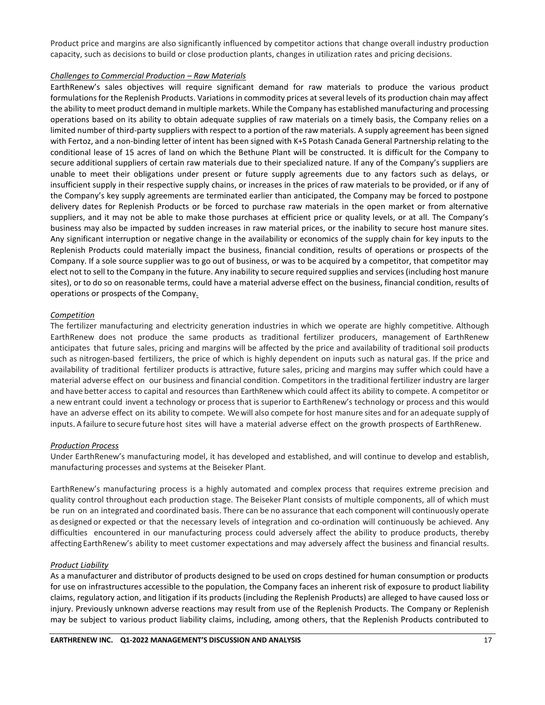Product price and margins are also significantly influenced by competitor actions that change overall industry production capacity, such as decisions to build or close production plants, changes in utilization rates and pricing decisions.

### *Challenges to Commercial Production – Raw Materials*

EarthRenew's sales objectives will require significant demand for raw materials to produce the various product formulations for the Replenish Products. Variations in commodity prices at several levels of its production chain may affect the ability to meet product demand in multiple markets. While the Company has established manufacturing and processing operations based on its ability to obtain adequate supplies of raw materials on a timely basis, the Company relies on a limited number of third-party suppliers with respect to a portion of the raw materials. A supply agreement has been signed with Fertoz, and a non-binding letter of intent has been signed with K+S Potash Canada General Partnership relating to the conditional lease of 15 acres of land on which the Bethune Plant will be constructed. It is difficult for the Company to secure additional suppliers of certain raw materials due to their specialized nature. If any of the Company's suppliers are unable to meet their obligations under present or future supply agreements due to any factors such as delays, or insufficient supply in their respective supply chains, or increases in the prices of raw materials to be provided, or if any of the Company's key supply agreements are terminated earlier than anticipated, the Company may be forced to postpone delivery dates for Replenish Products or be forced to purchase raw materials in the open market or from alternative suppliers, and it may not be able to make those purchases at efficient price or quality levels, or at all. The Company's business may also be impacted by sudden increases in raw material prices, or the inability to secure host manure sites. Any significant interruption or negative change in the availability or economics of the supply chain for key inputs to the Replenish Products could materially impact the business, financial condition, results of operations or prospects of the Company. If a sole source supplier was to go out of business, or was to be acquired by a competitor, that competitor may elect not to sell to the Company in the future. Any inability to secure required supplies and services (including host manure sites), or to do so on reasonable terms, could have a material adverse effect on the business, financial condition, results of operations or prospects of the Company*.*

## *Competition*

The fertilizer manufacturing and electricity generation industries in which we operate are highly competitive. Although EarthRenew does not produce the same products as traditional fertilizer producers, management of EarthRenew anticipates that future sales, pricing and margins will be affected by the price and availability of traditional soil products such as nitrogen-based fertilizers, the price of which is highly dependent on inputs such as natural gas. If the price and availability of traditional fertilizer products is attractive, future sales, pricing and margins may suffer which could have a material adverse effect on our business and financial condition. Competitors in the traditional fertilizer industry are larger and have better access to capital and resources than EarthRenew which could affect its ability to compete. A competitor or a new entrant could invent a technology or process that is superior to EarthRenew's technology or process and this would have an adverse effect on its ability to compete. Wewill also compete for host manure sites and for an adequate supply of inputs. A failure to secure future host sites will have a material adverse effect on the growth prospects of EarthRenew.

## *Production Process*

Under EarthRenew's manufacturing model, it has developed and established, and will continue to develop and establish, manufacturing processes and systems at the Beiseker Plant.

EarthRenew's manufacturing process is a highly automated and complex process that requires extreme precision and quality control throughout each production stage. The Beiseker Plant consists of multiple components, all of which must be run on an integrated and coordinated basis. There can be no assurance that each component will continuously operate as designed or expected or that the necessary levels of integration and co-ordination will continuously be achieved. Any difficulties encountered in our manufacturing process could adversely affect the ability to produce products, thereby affecting EarthRenew's ability to meet customer expectations and may adversely affect the business and financial results.

## *Product Liability*

As a manufacturer and distributor of products designed to be used on crops destined for human consumption or products for use on infrastructures accessible to the population, the Company faces an inherent risk of exposure to product liability claims, regulatory action, and litigation if its products (including the Replenish Products) are alleged to have caused loss or injury. Previously unknown adverse reactions may result from use of the Replenish Products. The Company or Replenish may be subject to various product liability claims, including, among others, that the Replenish Products contributed to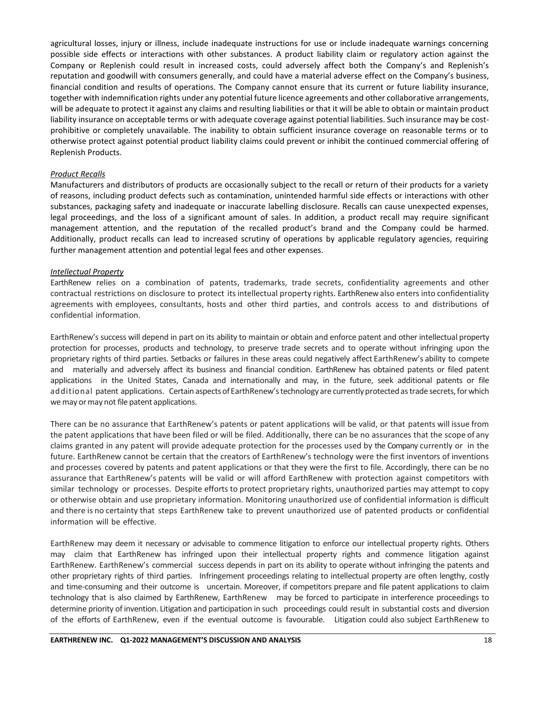agricultural losses, injury or illness, include inadequate instructions for use or include inadequate warnings concerning possible side effects or interactions with other substances. A product liability claim or regulatory action against the Company or Replenish could result in increased costs, could adversely affect both the Company's and Replenish's reputation and goodwill with consumers generally, and could have a material adverse effect on the Company's business, financial condition and results of operations. The Company cannot ensure that its current or future liability insurance, together with indemnification rights under any potential future licence agreements and other collaborative arrangements, will be adequate to protect it against any claims and resulting liabilities or that it will be able to obtain or maintain product liability insurance on acceptable terms or with adequate coverage against potential liabilities. Such insurance may be costprohibitive or completely unavailable. The inability to obtain sufficient insurance coverage on reasonable terms or to otherwise protect against potential product liability claims could prevent or inhibit the continued commercial offering of Replenish Products.

#### *Product Recalls*

Manufacturers and distributors of products are occasionally subject to the recall or return of their products for a variety of reasons, including product defects such as contamination, unintended harmful side effects or interactions with other substances, packaging safety and inadequate or inaccurate labelling disclosure. Recalls can cause unexpected expenses, legal proceedings, and the loss of a significant amount of sales. In addition, a product recall may require significant management attention, and the reputation of the recalled product's brand and the Company could be harmed. Additionally, product recalls can lead to increased scrutiny of operations by applicable regulatory agencies, requiring further management attention and potential legal fees and other expenses.

#### *Intellectual Property*

EarthRenew relies on a combination of patents, trademarks, trade secrets, confidentiality agreements and other contractual restrictions on disclosure to protect itsintellectual property rights. EarthRenew also enters into confidentiality agreements with employees, consultants, hosts and other third parties, and controls access to and distributions of confidential information.

EarthRenew's success will depend in part on its ability to maintain or obtain and enforce patent and other intellectual property protection for processes, products and technology, to preserve trade secrets and to operate without infringing upon the proprietary rights of third parties. Setbacks or failures in these areas could negatively affect EarthRenew's ability to compete and materially and adversely affect its business and financial condition. EarthRenew has obtained patents or filed patent applications in the United States, Canada and internationally and may, in the future, seek additional patents or file additional patent applications. Certain aspects of EarthRenew's technology are currently protected as trade secrets, for which we may or may not file patent applications.

There can be no assurance that EarthRenew's patents or patent applications will be valid, or that patents will issue from the patent applications that have been filed or will be filed. Additionally, there can be no assurances that the scope of any claims granted in any patent will provide adequate protection for the processes used by the Company currently or in the future. EarthRenew cannot be certain that the creators of EarthRenew's technology were the first inventors of inventions and processes covered by patents and patent applications or that they were the first to file. Accordingly, there can be no assurance that EarthRenew's patents will be valid or will afford EarthRenew with protection against competitors with similar technology or processes. Despite efforts to protect proprietary rights, unauthorized parties may attempt to copy or otherwise obtain and use proprietary information. Monitoring unauthorized use of confidential information is difficult and there is no certainty that steps EarthRenew take to prevent unauthorized use of patented products or confidential information will be effective.

EarthRenew may deem it necessary or advisable to commence litigation to enforce our intellectual property rights. Others may claim that EarthRenew has infringed upon their intellectual property rights and commence litigation against EarthRenew. EarthRenew's commercial success depends in part on its ability to operate without infringing the patents and other proprietary rights of third parties. Infringement proceedings relating to intellectual property are often lengthy, costly and time-consuming and their outcome is uncertain. Moreover, if competitors prepare and file patent applications to claim technology that is also claimed by EarthRenew, EarthRenew may be forced to participate in interference proceedings to determine priority of invention. Litigation and participation in such proceedings could result in substantial costs and diversion of the efforts of EarthRenew, even if the eventual outcome is favourable. Litigation could also subject EarthRenew to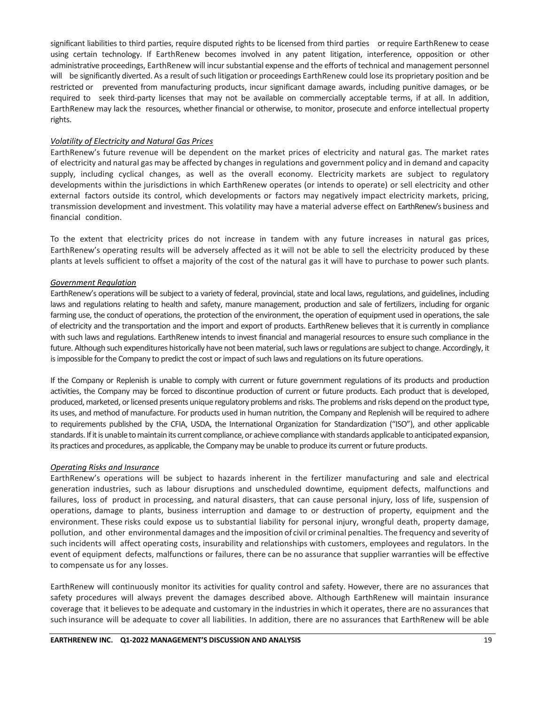significant liabilities to third parties, require disputed rights to be licensed from third parties or require EarthRenew to cease using certain technology. If EarthRenew becomes involved in any patent litigation, interference, opposition or other administrative proceedings, EarthRenew will incursubstantial expense and the efforts of technical and management personnel will be significantly diverted. As a result ofsuch litigation or proceedings EarthRenew could lose its proprietary position and be restricted or prevented from manufacturing products, incur significant damage awards, including punitive damages, or be required to seek third-party licenses that may not be available on commercially acceptable terms, if at all. In addition, EarthRenew may lack the resources, whether financial or otherwise, to monitor, prosecute and enforce intellectual property rights.

#### *Volatility of Electricity and Natural Gas Prices*

EarthRenew's future revenue will be dependent on the market prices of electricity and natural gas. The market rates of electricity and natural gas may be affected by changes in regulations and government policy and in demand and capacity supply, including cyclical changes, as well as the overall economy. Electricity markets are subject to regulatory developments within the jurisdictions in which EarthRenew operates (or intends to operate) or sell electricity and other external factors outside its control, which developments or factors may negatively impact electricity markets, pricing, transmission development and investment. This volatility may have a material adverse effect on EarthRenew's business and financial condition.

To the extent that electricity prices do not increase in tandem with any future increases in natural gas prices, EarthRenew's operating results will be adversely affected as it will not be able to sell the electricity produced by these plants at levels sufficient to offset a majority of the cost of the natural gas it will have to purchase to power such plants.

#### *Government Regulation*

EarthRenew's operations will be subject to a variety of federal, provincial, state and local laws, regulations, and guidelines, including laws and regulations relating to health and safety, manure management, production and sale of fertilizers, including for organic farming use, the conduct of operations, the protection of the environment, the operation of equipment used in operations, the sale of electricity and the transportation and the import and export of products. EarthRenew believes that it is currently in compliance with such laws and regulations. EarthRenew intends to invest financial and managerial resources to ensure such compliance in the future. Although such expenditures historically have not been material, such laws or regulations are subject to change. Accordingly, it is impossible for the Company to predict the cost or impact of such laws and regulations on its future operations.

If the Company or Replenish is unable to comply with current or future government regulations of its products and production activities, the Company may be forced to discontinue production of current or future products. Each product that is developed, produced, marketed, or licensed presents unique regulatory problems and risks. The problems and risks depend on the product type, its uses, and method of manufacture. For products used in human nutrition, the Company and Replenish will be required to adhere to requirements published by the CFIA, USDA, the International Organization for Standardization ("ISO"), and other applicable standards. If it is unable to maintain its current compliance, or achieve compliance with standards applicable to anticipated expansion, its practices and procedures, as applicable, the Company may be unable to produce its current or future products.

#### *Operating Risks and Insurance*

EarthRenew's operations will be subject to hazards inherent in the fertilizer manufacturing and sale and electrical generation industries, such as labour disruptions and unscheduled downtime, equipment defects, malfunctions and failures, loss of product in processing, and natural disasters, that can cause personal injury, loss of life, suspension of operations, damage to plants, business interruption and damage to or destruction of property, equipment and the environment. These risks could expose us to substantial liability for personal injury, wrongful death, property damage, pollution, and other environmental damages and the imposition of civil or criminal penalties. The frequency and severity of such incidents will affect operating costs, insurability and relationships with customers, employees and regulators. In the event of equipment defects, malfunctions or failures, there can be no assurance that supplier warranties will be effective to compensate us for any losses.

EarthRenew will continuously monitor its activities for quality control and safety. However, there are no assurances that safety procedures will always prevent the damages described above. Although EarthRenew will maintain insurance coverage that it believes to be adequate and customary in the industries in which it operates, there are no assurances that such insurance will be adequate to cover all liabilities. In addition, there are no assurances that EarthRenew will be able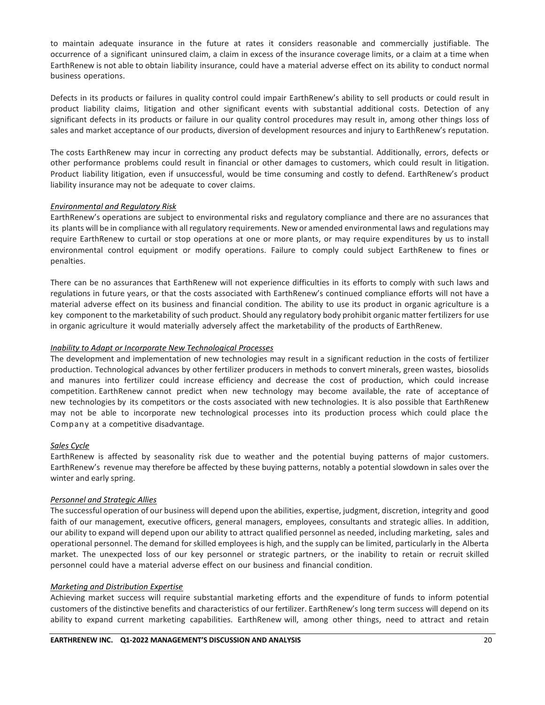to maintain adequate insurance in the future at rates it considers reasonable and commercially justifiable. The occurrence of a significant uninsured claim, a claim in excess of the insurance coverage limits, or a claim at a time when EarthRenew is not able to obtain liability insurance, could have a material adverse effect on its ability to conduct normal business operations.

Defects in its products or failures in quality control could impair EarthRenew's ability to sell products or could result in product liability claims, litigation and other significant events with substantial additional costs. Detection of any significant defects in its products or failure in our quality control procedures may result in, among other things loss of sales and market acceptance of our products, diversion of development resources and injury to EarthRenew's reputation.

The costs EarthRenew may incur in correcting any product defects may be substantial. Additionally, errors, defects or other performance problems could result in financial or other damages to customers, which could result in litigation. Product liability litigation, even if unsuccessful, would be time consuming and costly to defend. EarthRenew's product liability insurance may not be adequate to cover claims.

#### *Environmental and Regulatory Risk*

EarthRenew's operations are subject to environmental risks and regulatory compliance and there are no assurances that its plants will be in compliance with all regulatory requirements. New or amended environmental laws and regulations may require EarthRenew to curtail or stop operations at one or more plants, or may require expenditures by us to install environmental control equipment or modify operations. Failure to comply could subject EarthRenew to fines or penalties.

There can be no assurances that EarthRenew will not experience difficulties in its efforts to comply with such laws and regulations in future years, or that the costs associated with EarthRenew's continued compliance efforts will not have a material adverse effect on its business and financial condition. The ability to use its product in organic agriculture is a key component to the marketability of such product. Should any regulatory body prohibit organic matter fertilizers for use in organic agriculture it would materially adversely affect the marketability of the products of EarthRenew.

#### *Inability to Adapt or Incorporate New Technological Processes*

The development and implementation of new technologies may result in a significant reduction in the costs of fertilizer production. Technological advances by other fertilizer producers in methods to convert minerals, green wastes, biosolids and manures into fertilizer could increase efficiency and decrease the cost of production, which could increase competition. EarthRenew cannot predict when new technology may become available, the rate of acceptance of new technologies by its competitors or the costs associated with new technologies. It is also possible that EarthRenew may not be able to incorporate new technological processes into its production process which could place the Company at a competitive disadvantage.

## *Sales Cycle*

EarthRenew is affected by seasonality risk due to weather and the potential buying patterns of major customers. EarthRenew's revenue may therefore be affected by these buying patterns, notably a potential slowdown in sales over the winter and early spring.

#### *Personnel and Strategic Allies*

The successful operation of our business will depend upon the abilities, expertise, judgment, discretion, integrity and good faith of our management, executive officers, general managers, employees, consultants and strategic allies. In addition, our ability to expand will depend upon our ability to attract qualified personnel as needed, including marketing, sales and operational personnel. The demand forskilled employees is high, and the supply can be limited, particularly in the Alberta market. The unexpected loss of our key personnel or strategic partners, or the inability to retain or recruit skilled personnel could have a material adverse effect on our business and financial condition.

#### *Marketing and Distribution Expertise*

Achieving market success will require substantial marketing efforts and the expenditure of funds to inform potential customers of the distinctive benefits and characteristics of our fertilizer. EarthRenew's long term success will depend on its ability to expand current marketing capabilities. EarthRenew will, among other things, need to attract and retain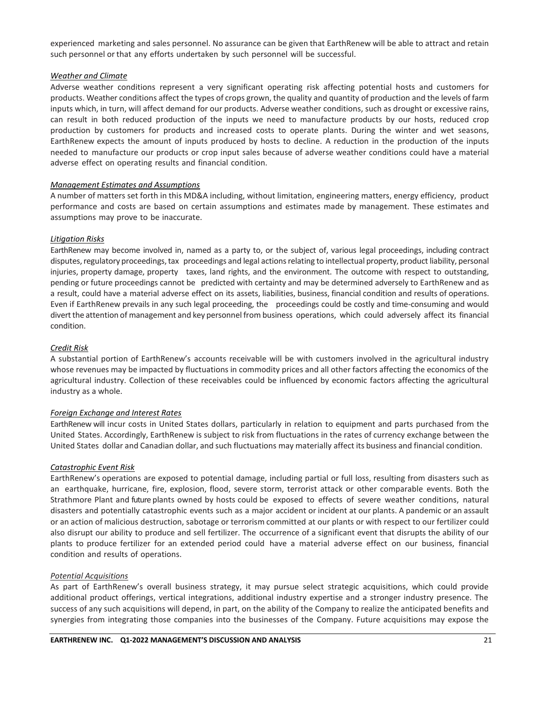experienced marketing and sales personnel. No assurance can be given that EarthRenew will be able to attract and retain such personnel or that any efforts undertaken by such personnel will be successful.

### *Weather and Climate*

Adverse weather conditions represent a very significant operating risk affecting potential hosts and customers for products. Weather conditions affect the types of crops grown, the quality and quantity of production and the levels of farm inputs which, in turn, will affect demand for our products. Adverse weather conditions, such as drought or excessive rains, can result in both reduced production of the inputs we need to manufacture products by our hosts, reduced crop production by customers for products and increased costs to operate plants. During the winter and wet seasons, EarthRenew expects the amount of inputs produced by hosts to decline. A reduction in the production of the inputs needed to manufacture our products or crop input sales because of adverse weather conditions could have a material adverse effect on operating results and financial condition.

#### *Management Estimates and Assumptions*

A number of matters set forth in this MD&A including, without limitation, engineering matters, energy efficiency, product performance and costs are based on certain assumptions and estimates made by management. These estimates and assumptions may prove to be inaccurate.

#### *Litigation Risks*

EarthRenew may become involved in, named as a party to, or the subject of, various legal proceedings, including contract disputes, regulatory proceedings, tax proceedings and legal actions relating to intellectual property, product liability, personal injuries, property damage, property taxes, land rights, and the environment. The outcome with respect to outstanding, pending or future proceedings cannot be predicted with certainty and may be determined adversely to EarthRenew and as a result, could have a material adverse effect on its assets, liabilities, business, financial condition and results of operations. Even if EarthRenew prevails in any such legal proceeding, the proceedings could be costly and time-consuming and would divert the attention of management and key personnel from business operations, which could adversely affect its financial condition.

#### *Credit Risk*

A substantial portion of EarthRenew's accounts receivable will be with customers involved in the agricultural industry whose revenues may be impacted by fluctuations in commodity prices and all other factors affecting the economics of the agricultural industry. Collection of these receivables could be influenced by economic factors affecting the agricultural industry as a whole.

## *Foreign Exchange and Interest Rates*

EarthRenew will incur costs in United States dollars, particularly in relation to equipment and parts purchased from the United States. Accordingly, EarthRenew is subject to risk from fluctuations in the rates of currency exchange between the United States dollar and Canadian dollar, and such fluctuations may materially affect its business and financial condition.

#### *Catastrophic Event Risk*

EarthRenew's operations are exposed to potential damage, including partial or full loss, resulting from disasters such as an earthquake, hurricane, fire, explosion, flood, severe storm, terrorist attack or other comparable events. Both the Strathmore Plant and future plants owned by hosts could be exposed to effects of severe weather conditions, natural disasters and potentially catastrophic events such as a major accident or incident at our plants. A pandemic or an assault or an action of malicious destruction, sabotage or terrorism committed at our plants or with respect to our fertilizer could also disrupt our ability to produce and sell fertilizer. The occurrence of a significant event that disrupts the ability of our plants to produce fertilizer for an extended period could have a material adverse effect on our business, financial condition and results of operations.

#### *Potential Acquisitions*

As part of EarthRenew's overall business strategy, it may pursue select strategic acquisitions, which could provide additional product offerings, vertical integrations, additional industry expertise and a stronger industry presence. The success of any such acquisitions will depend, in part, on the ability of the Company to realize the anticipated benefits and synergies from integrating those companies into the businesses of the Company. Future acquisitions may expose the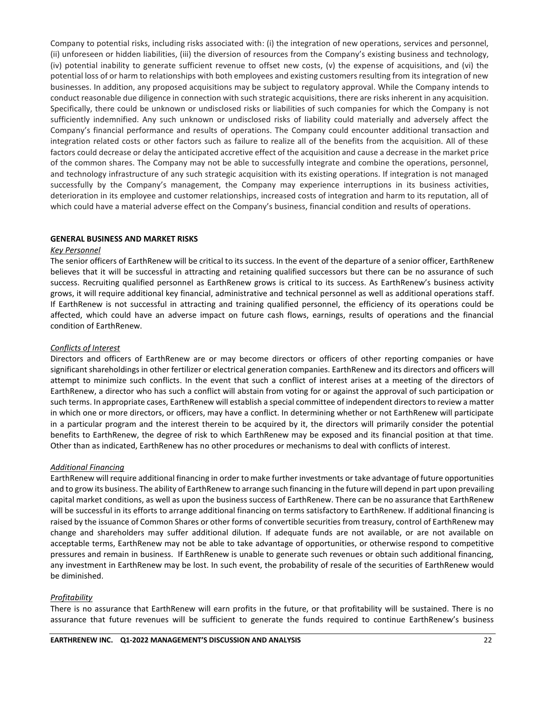Company to potential risks, including risks associated with: (i) the integration of new operations, services and personnel, (ii) unforeseen or hidden liabilities, (iii) the diversion of resources from the Company's existing business and technology, (iv) potential inability to generate sufficient revenue to offset new costs, (v) the expense of acquisitions, and (vi) the potential loss of or harm to relationships with both employees and existing customers resulting from its integration of new businesses. In addition, any proposed acquisitions may be subject to regulatory approval. While the Company intends to conduct reasonable due diligence in connection with such strategic acquisitions, there are risks inherent in any acquisition. Specifically, there could be unknown or undisclosed risks or liabilities of such companies for which the Company is not sufficiently indemnified. Any such unknown or undisclosed risks of liability could materially and adversely affect the Company's financial performance and results of operations. The Company could encounter additional transaction and integration related costs or other factors such as failure to realize all of the benefits from the acquisition. All of these factors could decrease or delay the anticipated accretive effect of the acquisition and cause a decrease in the market price of the common shares. The Company may not be able to successfully integrate and combine the operations, personnel, and technology infrastructure of any such strategic acquisition with its existing operations. If integration is not managed successfully by the Company's management, the Company may experience interruptions in its business activities, deterioration in its employee and customer relationships, increased costs of integration and harm to its reputation, all of which could have a material adverse effect on the Company's business, financial condition and results of operations.

#### **GENERAL BUSINESS AND MARKET RISKS**

#### *Key Personnel*

The senior officers of EarthRenew will be critical to its success. In the event of the departure of a senior officer, EarthRenew believes that it will be successful in attracting and retaining qualified successors but there can be no assurance of such success. Recruiting qualified personnel as EarthRenew grows is critical to its success. As EarthRenew's business activity grows, it will require additional key financial, administrative and technical personnel as well as additional operations staff. If EarthRenew is not successful in attracting and training qualified personnel, the efficiency of its operations could be affected, which could have an adverse impact on future cash flows, earnings, results of operations and the financial condition of EarthRenew.

### *Conflicts of Interest*

Directors and officers of EarthRenew are or may become directors or officers of other reporting companies or have significant shareholdings in other fertilizer or electrical generation companies. EarthRenew and its directors and officers will attempt to minimize such conflicts. In the event that such a conflict of interest arises at a meeting of the directors of EarthRenew, a director who has such a conflict will abstain from voting for or against the approval of such participation or such terms. In appropriate cases, EarthRenew will establish a special committee of independent directors to review a matter in which one or more directors, or officers, may have a conflict. In determining whether or not EarthRenew will participate in a particular program and the interest therein to be acquired by it, the directors will primarily consider the potential benefits to EarthRenew, the degree of risk to which EarthRenew may be exposed and its financial position at that time. Other than as indicated, EarthRenew has no other procedures or mechanisms to deal with conflicts of interest.

## *Additional Financing*

EarthRenew will require additional financing in order to make further investments or take advantage of future opportunities and to grow its business. The ability of EarthRenew to arrange such financing in the future will depend in part upon prevailing capital market conditions, as well as upon the business success of EarthRenew. There can be no assurance that EarthRenew will be successful in its efforts to arrange additional financing on terms satisfactory to EarthRenew. If additional financing is raised by the issuance of Common Shares or other forms of convertible securities from treasury, control of EarthRenew may change and shareholders may suffer additional dilution. If adequate funds are not available, or are not available on acceptable terms, EarthRenew may not be able to take advantage of opportunities, or otherwise respond to competitive pressures and remain in business. If EarthRenew is unable to generate such revenues or obtain such additional financing, any investment in EarthRenew may be lost. In such event, the probability of resale of the securities of EarthRenew would be diminished.

## *Profitability*

There is no assurance that EarthRenew will earn profits in the future, or that profitability will be sustained. There is no assurance that future revenues will be sufficient to generate the funds required to continue EarthRenew's business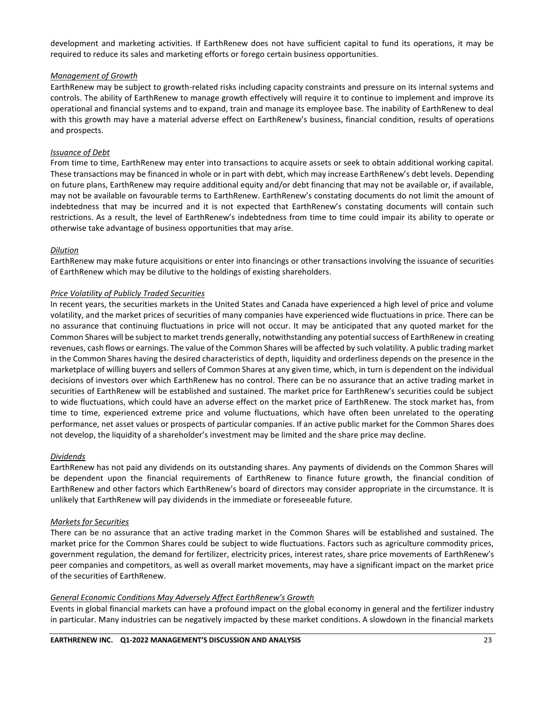development and marketing activities. If EarthRenew does not have sufficient capital to fund its operations, it may be required to reduce its sales and marketing efforts or forego certain business opportunities.

## *Management of Growth*

EarthRenew may be subject to growth-related risks including capacity constraints and pressure on its internal systems and controls. The ability of EarthRenew to manage growth effectively will require it to continue to implement and improve its operational and financial systems and to expand, train and manage its employee base. The inability of EarthRenew to deal with this growth may have a material adverse effect on EarthRenew's business, financial condition, results of operations and prospects.

#### *Issuance of Debt*

From time to time, EarthRenew may enter into transactions to acquire assets or seek to obtain additional working capital. These transactions may be financed in whole or in part with debt, which may increase EarthRenew's debt levels. Depending on future plans, EarthRenew may require additional equity and/or debt financing that may not be available or, if available, may not be available on favourable terms to EarthRenew. EarthRenew's constating documents do not limit the amount of indebtedness that may be incurred and it is not expected that EarthRenew's constating documents will contain such restrictions. As a result, the level of EarthRenew's indebtedness from time to time could impair its ability to operate or otherwise take advantage of business opportunities that may arise.

#### *Dilution*

EarthRenew may make future acquisitions or enter into financings or other transactions involving the issuance of securities of EarthRenew which may be dilutive to the holdings of existing shareholders.

#### *Price Volatility of Publicly Traded Securities*

In recent years, the securities markets in the United States and Canada have experienced a high level of price and volume volatility, and the market prices of securities of many companies have experienced wide fluctuations in price. There can be no assurance that continuing fluctuations in price will not occur. It may be anticipated that any quoted market for the Common Shares will be subject to market trends generally, notwithstanding any potential success of EarthRenew in creating revenues, cash flows or earnings. The value of the Common Shares will be affected by such volatility. A public trading market in the Common Shares having the desired characteristics of depth, liquidity and orderliness depends on the presence in the marketplace of willing buyers and sellers of Common Shares at any given time, which, in turn is dependent on the individual decisions of investors over which EarthRenew has no control. There can be no assurance that an active trading market in securities of EarthRenew will be established and sustained. The market price for EarthRenew's securities could be subject to wide fluctuations, which could have an adverse effect on the market price of EarthRenew. The stock market has, from time to time, experienced extreme price and volume fluctuations, which have often been unrelated to the operating performance, net asset values or prospects of particular companies. If an active public market for the Common Shares does not develop, the liquidity of a shareholder's investment may be limited and the share price may decline.

#### *Dividends*

EarthRenew has not paid any dividends on its outstanding shares. Any payments of dividends on the Common Shares will be dependent upon the financial requirements of EarthRenew to finance future growth, the financial condition of EarthRenew and other factors which EarthRenew's board of directors may consider appropriate in the circumstance. It is unlikely that EarthRenew will pay dividends in the immediate or foreseeable future.

#### *Markets for Securities*

There can be no assurance that an active trading market in the Common Shares will be established and sustained. The market price for the Common Shares could be subject to wide fluctuations. Factors such as agriculture commodity prices, government regulation, the demand for fertilizer, electricity prices, interest rates, share price movements of EarthRenew's peer companies and competitors, as well as overall market movements, may have a significant impact on the market price of the securities of EarthRenew.

#### *General Economic Conditions May Adversely Affect EarthRenew's Growth*

Events in global financial markets can have a profound impact on the global economy in general and the fertilizer industry in particular. Many industries can be negatively impacted by these market conditions. A slowdown in the financial markets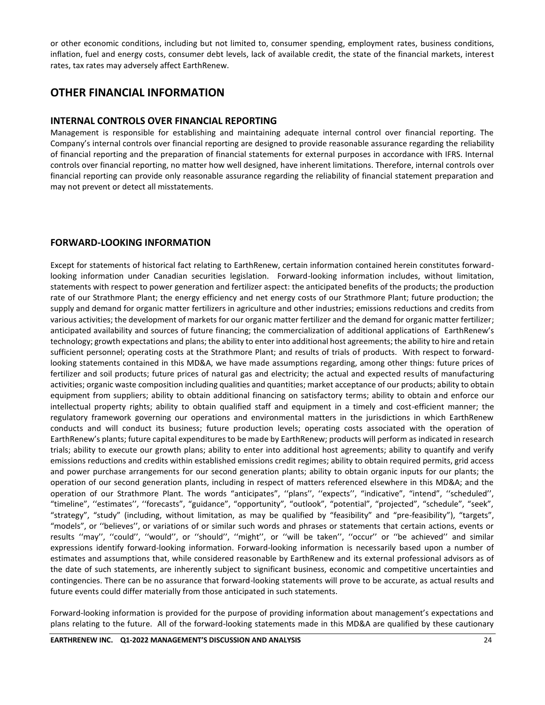or other economic conditions, including but not limited to, consumer spending, employment rates, business conditions, inflation, fuel and energy costs, consumer debt levels, lack of available credit, the state of the financial markets, interest rates, tax rates may adversely affect EarthRenew.

## **OTHER FINANCIAL INFORMATION**

## **INTERNAL CONTROLS OVER FINANCIAL REPORTING**

Management is responsible for establishing and maintaining adequate internal control over financial reporting. The Company's internal controls over financial reporting are designed to provide reasonable assurance regarding the reliability of financial reporting and the preparation of financial statements for external purposes in accordance with IFRS. Internal controls over financial reporting, no matter how well designed, have inherent limitations. Therefore, internal controls over financial reporting can provide only reasonable assurance regarding the reliability of financial statement preparation and may not prevent or detect all misstatements.

## **FORWARD-LOOKING INFORMATION**

Except for statements of historical fact relating to EarthRenew, certain information contained herein constitutes forwardlooking information under Canadian securities legislation. Forward-looking information includes, without limitation, statements with respect to power generation and fertilizer aspect: the anticipated benefits of the products; the production rate of our Strathmore Plant; the energy efficiency and net energy costs of our Strathmore Plant; future production; the supply and demand for organic matter fertilizers in agriculture and other industries; emissions reductions and credits from various activities; the development of markets for our organic matter fertilizer and the demand for organic matter fertilizer; anticipated availability and sources of future financing; the commercialization of additional applications of EarthRenew's technology; growth expectations and plans; the ability to enter into additional host agreements; the ability to hire and retain sufficient personnel; operating costs at the Strathmore Plant; and results of trials of products. With respect to forwardlooking statements contained in this MD&A, we have made assumptions regarding, among other things: future prices of fertilizer and soil products; future prices of natural gas and electricity; the actual and expected results of manufacturing activities; organic waste composition including qualities and quantities; market acceptance of our products; ability to obtain equipment from suppliers; ability to obtain additional financing on satisfactory terms; ability to obtain and enforce our intellectual property rights; ability to obtain qualified staff and equipment in a timely and cost-efficient manner; the regulatory framework governing our operations and environmental matters in the jurisdictions in which EarthRenew conducts and will conduct its business; future production levels; operating costs associated with the operation of EarthRenew's plants; future capital expenditures to be made by EarthRenew; products will perform as indicated in research trials; ability to execute our growth plans; ability to enter into additional host agreements; ability to quantify and verify emissions reductions and credits within established emissions credit regimes; ability to obtain required permits, grid access and power purchase arrangements for our second generation plants; ability to obtain organic inputs for our plants; the operation of our second generation plants, including in respect of matters referenced elsewhere in this MD&A; and the operation of our Strathmore Plant. The words "anticipates", ''plans'', ''expects'', "indicative", "intend", ''scheduled'', "timeline", ''estimates'', ''forecasts", "guidance", "opportunity", "outlook", "potential", "projected", "schedule", "seek", "strategy", "study" (including, without limitation, as may be qualified by "feasibility" and "pre-feasibility"), "targets", "models", or ''believes'', or variations of or similar such words and phrases or statements that certain actions, events or results ''may'', ''could'', ''would'', or ''should'', ''might'', or ''will be taken'', ''occur'' or ''be achieved'' and similar expressions identify forward-looking information. Forward-looking information is necessarily based upon a number of estimates and assumptions that, while considered reasonable by EarthRenew and its external professional advisors as of the date of such statements, are inherently subject to significant business, economic and competitive uncertainties and contingencies. There can be no assurance that forward-looking statements will prove to be accurate, as actual results and future events could differ materially from those anticipated in such statements.

Forward-looking information is provided for the purpose of providing information about management's expectations and plans relating to the future. All of the forward-looking statements made in this MD&A are qualified by these cautionary